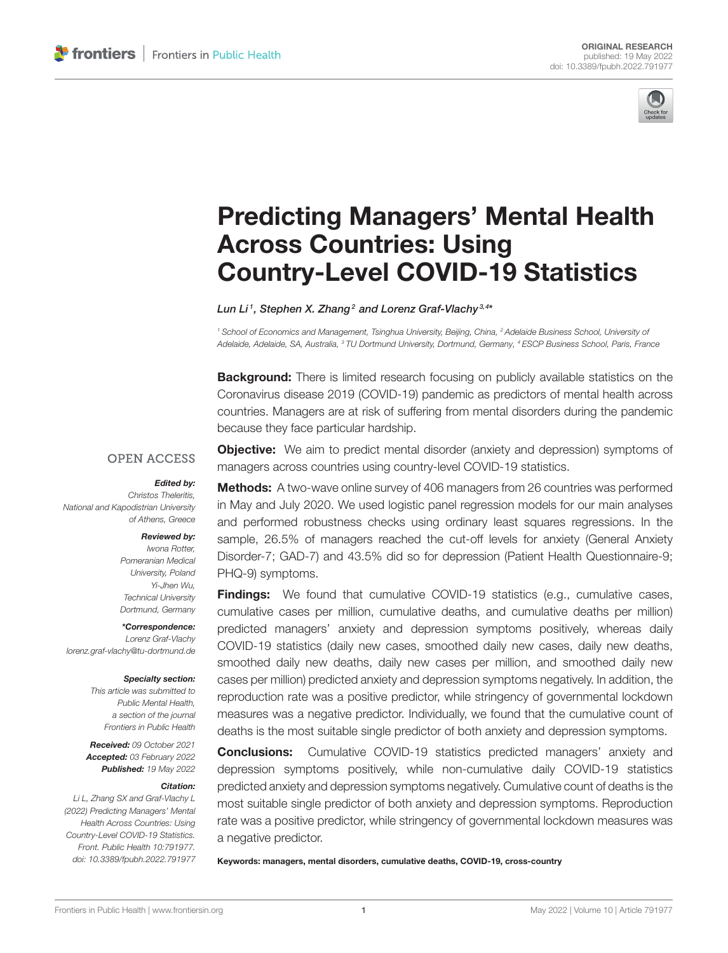

# [Predicting Managers' Mental Health](https://www.frontiersin.org/articles/10.3389/fpubh.2022.791977/full) Across Countries: Using Country-Level COVID-19 Statistics

Lun Li<sup>1</sup>, Stephen X. Zhang<sup>2</sup> and Lorenz Graf-Vlachy<sup>3,4\*</sup>

*<sup>1</sup> School of Economics and Management, Tsinghua University, Beijing, China, <sup>2</sup> Adelaide Business School, University of Adelaide, Adelaide, SA, Australia, <sup>3</sup> TU Dortmund University, Dortmund, Germany, <sup>4</sup> ESCP Business School, Paris, France*

**Background:** There is limited research focusing on publicly available statistics on the Coronavirus disease 2019 (COVID-19) pandemic as predictors of mental health across countries. Managers are at risk of suffering from mental disorders during the pandemic because they face particular hardship.

## **OPEN ACCESS**

### Edited by:

*Christos Theleritis, National and Kapodistrian University of Athens, Greece*

### Reviewed by:

*Iwona Rotter, Pomeranian Medical University, Poland Yi-Jhen Wu, Technical University Dortmund, Germany*

\*Correspondence: *Lorenz Graf-Vlachy [lorenz.graf-vlachy@tu-dortmund.de](mailto:lorenz.graf-vlachy@tu-dortmund.de)*

### Specialty section:

*This article was submitted to Public Mental Health, a section of the journal Frontiers in Public Health*

Received: *09 October 2021* Accepted: *03 February 2022* Published: *19 May 2022*

### Citation:

*Li L, Zhang SX and Graf-Vlachy L (2022) Predicting Managers' Mental Health Across Countries: Using Country-Level COVID-19 Statistics. Front. Public Health 10:791977. doi: [10.3389/fpubh.2022.791977](https://doi.org/10.3389/fpubh.2022.791977)*

**Objective:** We aim to predict mental disorder (anxiety and depression) symptoms of managers across countries using country-level COVID-19 statistics.

Methods: A two-wave online survey of 406 managers from 26 countries was performed in May and July 2020. We used logistic panel regression models for our main analyses and performed robustness checks using ordinary least squares regressions. In the sample, 26.5% of managers reached the cut-off levels for anxiety (General Anxiety Disorder-7; GAD-7) and 43.5% did so for depression (Patient Health Questionnaire-9; PHQ-9) symptoms.

Findings: We found that cumulative COVID-19 statistics (e.g., cumulative cases, cumulative cases per million, cumulative deaths, and cumulative deaths per million) predicted managers' anxiety and depression symptoms positively, whereas daily COVID-19 statistics (daily new cases, smoothed daily new cases, daily new deaths, smoothed daily new deaths, daily new cases per million, and smoothed daily new cases per million) predicted anxiety and depression symptoms negatively. In addition, the reproduction rate was a positive predictor, while stringency of governmental lockdown measures was a negative predictor. Individually, we found that the cumulative count of deaths is the most suitable single predictor of both anxiety and depression symptoms.

**Conclusions:** Cumulative COVID-19 statistics predicted managers' anxiety and depression symptoms positively, while non-cumulative daily COVID-19 statistics predicted anxiety and depression symptoms negatively. Cumulative count of deaths is the most suitable single predictor of both anxiety and depression symptoms. Reproduction rate was a positive predictor, while stringency of governmental lockdown measures was a negative predictor.

Keywords: managers, mental disorders, cumulative deaths, COVID-19, cross-country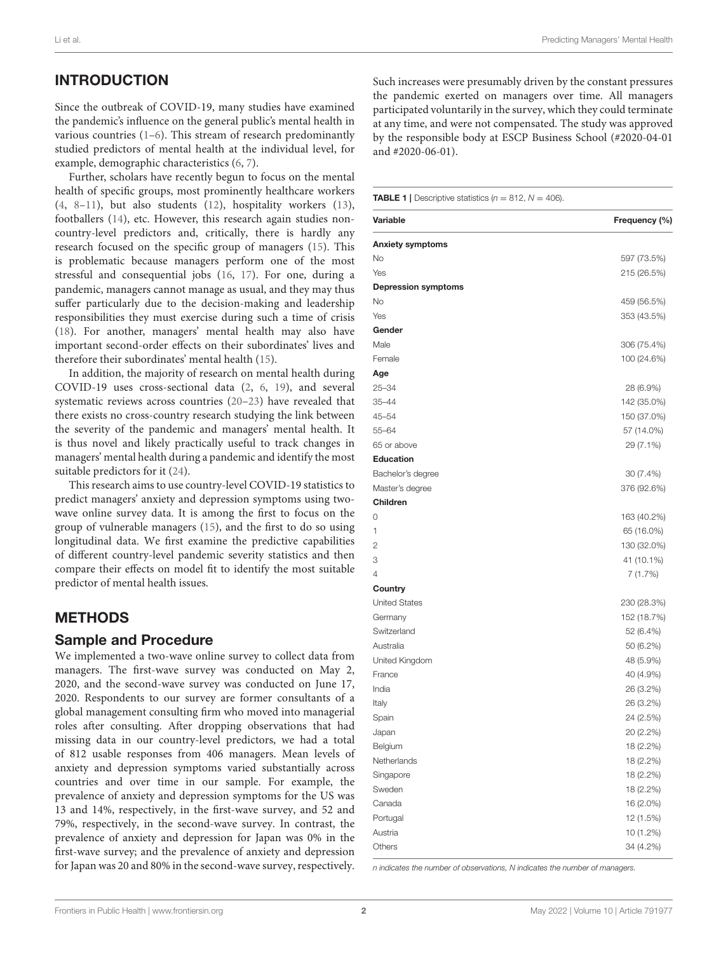# INTRODUCTION

Since the outbreak of COVID-19, many studies have examined the pandemic's influence on the general public's mental health in various countries [\(1–](#page-12-0)[6\)](#page-13-0). This stream of research predominantly studied predictors of mental health at the individual level, for example, demographic characteristics [\(6,](#page-13-0) [7\)](#page-13-1).

Further, scholars have recently begun to focus on the mental health of specific groups, most prominently healthcare workers [\(4,](#page-12-1) [8](#page-13-2)[–11\)](#page-13-3), but also students [\(12\)](#page-13-4), hospitality workers [\(13\)](#page-13-5), footballers [\(14\)](#page-13-6), etc. However, this research again studies noncountry-level predictors and, critically, there is hardly any research focused on the specific group of managers [\(15\)](#page-13-7). This is problematic because managers perform one of the most stressful and consequential jobs [\(16,](#page-13-8) [17\)](#page-13-9). For one, during a pandemic, managers cannot manage as usual, and they may thus suffer particularly due to the decision-making and leadership responsibilities they must exercise during such a time of crisis [\(18\)](#page-13-10). For another, managers' mental health may also have important second-order effects on their subordinates' lives and therefore their subordinates' mental health [\(15\)](#page-13-7).

In addition, the majority of research on mental health during COVID-19 uses cross-sectional data [\(2,](#page-12-2) [6,](#page-13-0) [19\)](#page-13-11), and several systematic reviews across countries [\(20](#page-13-12)[–23\)](#page-13-13) have revealed that there exists no cross-country research studying the link between the severity of the pandemic and managers' mental health. It is thus novel and likely practically useful to track changes in managers' mental health during a pandemic and identify the most suitable predictors for it [\(24\)](#page-13-14).

This research aims to use country-level COVID-19 statistics to predict managers' anxiety and depression symptoms using twowave online survey data. It is among the first to focus on the group of vulnerable managers [\(15\)](#page-13-7), and the first to do so using longitudinal data. We first examine the predictive capabilities of different country-level pandemic severity statistics and then compare their effects on model fit to identify the most suitable predictor of mental health issues.

# METHODS

### Sample and Procedure

We implemented a two-wave online survey to collect data from managers. The first-wave survey was conducted on May 2, 2020, and the second-wave survey was conducted on June 17, 2020. Respondents to our survey are former consultants of a global management consulting firm who moved into managerial roles after consulting. After dropping observations that had missing data in our country-level predictors, we had a total of 812 usable responses from 406 managers. Mean levels of anxiety and depression symptoms varied substantially across countries and over time in our sample. For example, the prevalence of anxiety and depression symptoms for the US was 13 and 14%, respectively, in the first-wave survey, and 52 and 79%, respectively, in the second-wave survey. In contrast, the prevalence of anxiety and depression for Japan was 0% in the first-wave survey; and the prevalence of anxiety and depression for Japan was 20 and 80% in the second-wave survey, respectively. Such increases were presumably driven by the constant pressures the pandemic exerted on managers over time. All managers participated voluntarily in the survey, which they could terminate at any time, and were not compensated. The study was approved by the responsible body at ESCP Business School (#2020-04-01 and #2020-06-01).

<span id="page-1-0"></span>**TABLE 1** | Descriptive statistics  $(n = 812, N = 406)$ .

| Variable                   | Frequency (%) |
|----------------------------|---------------|
| <b>Anxiety symptoms</b>    |               |
| No                         | 597 (73.5%)   |
| Yes                        | 215 (26.5%)   |
| <b>Depression symptoms</b> |               |
| No                         | 459 (56.5%)   |
| Yes                        | 353 (43.5%)   |
| Gender                     |               |
| Male                       | 306 (75.4%)   |
| Female                     | 100 (24.6%)   |
| Age                        |               |
| $25 - 34$                  | 28 (6.9%)     |
| $35 - 44$                  | 142 (35.0%)   |
| $45 - 54$                  | 150 (37.0%)   |
| $55 - 64$                  | 57 (14.0%)    |
| 65 or above                | 29 (7.1%)     |
| <b>Education</b>           |               |
| Bachelor's degree          | 30 (7.4%)     |
| Master's degree            | 376 (92.6%)   |
| <b>Children</b>            |               |
| 0                          | 163 (40.2%)   |
| 1                          | 65 (16.0%)    |
| $\overline{2}$             | 130 (32.0%)   |
| 3                          | 41 (10.1%)    |
| 4                          | 7(1.7%)       |
| Country                    |               |
| <b>United States</b>       | 230 (28.3%)   |
| Germany                    | 152 (18.7%)   |
| Switzerland                | 52 (6.4%)     |
| Australia                  | 50 (6.2%)     |
| United Kingdom             | 48 (5.9%)     |
| France                     | 40 (4.9%)     |
| India                      | 26 (3.2%)     |
| Italy                      | 26 (3.2%)     |
| Spain                      | 24 (2.5%)     |
| Japan                      | 20 (2.2%)     |
| Belgium                    | 18 (2.2%)     |
| Netherlands                | 18 (2.2%)     |
| Singapore                  | 18 (2.2%)     |
| Sweden                     | 18 (2.2%)     |
| Canada                     | 16 (2.0%)     |
| Portugal                   | 12 (1.5%)     |
| Austria                    | 10 (1.2%)     |
| Others                     | 34 (4.2%)     |

*n indicates the number of observations, N indicates the number of managers.*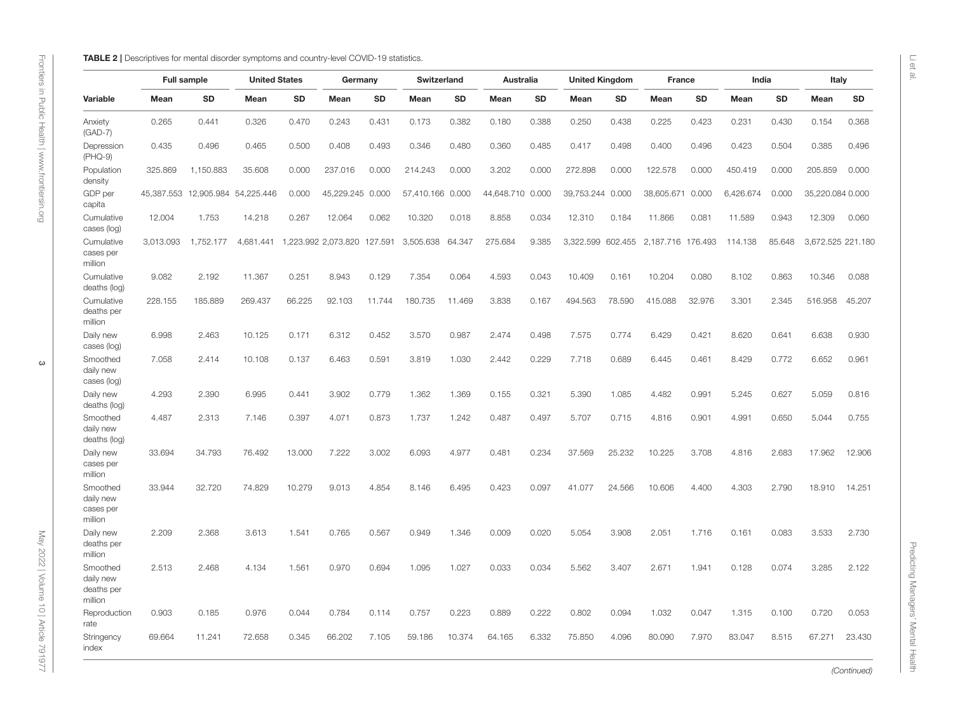|  | TABLE 2   Descriptives for mental disorder symptoms and country-level COVID-19 statistic |  |  |  |  |  |  |  |
|--|------------------------------------------------------------------------------------------|--|--|--|--|--|--|--|
|--|------------------------------------------------------------------------------------------|--|--|--|--|--|--|--|

|                                                | <b>Full sample</b> |            | <b>United States</b> |        | Germany                     |           | Switzerland      |        | Australia  |           | <b>United Kingdom</b> |         | France     |           | India     |        | Italy             |        |
|------------------------------------------------|--------------------|------------|----------------------|--------|-----------------------------|-----------|------------------|--------|------------|-----------|-----------------------|---------|------------|-----------|-----------|--------|-------------------|--------|
| Variable                                       | Mean               | <b>SD</b>  | Mean                 | SD     | Mean                        | <b>SD</b> | Mean             | SD     | Mean       | <b>SD</b> | Mean                  | SD      | Mean       | <b>SD</b> | Mean      | SD     | Mean              | SD     |
| Anxiety<br>$(GAD-7)$                           | 0.265              | 0.441      | 0.326                | 0.470  | 0.243                       | 0.431     | 0.173            | 0.382  | 0.180      | 0.388     | 0.250                 | 0.438   | 0.225      | 0.423     | 0.231     | 0.430  | 0.154             | 0.368  |
| Depression<br>(PHQ-9)                          | 0.435              | 0.496      | 0.465                | 0.500  | 0.408                       | 0.493     | 0.346            | 0.480  | 0.360      | 0.485     | 0.417                 | 0.498   | 0.400      | 0.496     | 0.423     | 0.504  | 0.385             | 0.496  |
| Population<br>density                          | 325.869            | 1,150.883  | 35.608               | 0.000  | 237.016                     | 0.000     | 214.243          | 0.000  | 3.202      | 0.000     | 272.898               | 0.000   | 122.578    | 0.000     | 450.419   | 0.000  | 205.859           | 0.000  |
| GDP per<br>capita                              | 45,387.553         | 12,905.984 | 54,225.446           | 0.000  | 45,229.245                  | 0.000     | 57,410.166 0.000 |        | 44,648.710 | 0.000     | 39,753.244 0.000      |         | 38,605.671 | 0.000     | 6,426.674 | 0.000  | 35,220.084 0.000  |        |
| Cumulative<br>cases (log)                      | 12.004             | 1.753      | 14.218               | 0.267  | 12.064                      | 0.062     | 10.320           | 0.018  | 8.858      | 0.034     | 12.310                | 0.184   | 11.866     | 0.081     | 11.589    | 0.943  | 12.309            | 0.060  |
| Cumulative<br>cases per<br>million             | 3,013.093          | 1,752.177  | 4,681.441            |        | 1,223.992 2,073.820 127.591 |           | 3,505.638        | 64.347 | 275.684    | 9.385     | 3,322.599             | 602.455 | 2,187.716  | 176.493   | 114.138   | 85.648 | 3,672.525 221.180 |        |
| Cumulative<br>deaths (log)                     | 9.082              | 2.192      | 11.367               | 0.251  | 8.943                       | 0.129     | 7.354            | 0.064  | 4.593      | 0.043     | 10.409                | 0.161   | 10.204     | 0.080     | 8.102     | 0.863  | 10.346            | 0.088  |
| Cumulative<br>deaths per<br>million            | 228.155            | 185.889    | 269.437              | 66.225 | 92.103                      | 11.744    | 180.735          | 11.469 | 3.838      | 0.167     | 494.563               | 78.590  | 415.088    | 32.976    | 3.301     | 2.345  | 516.958           | 45.207 |
| Daily new<br>cases (log)                       | 6.998              | 2.463      | 10.125               | 0.171  | 6.312                       | 0.452     | 3.570            | 0.987  | 2.474      | 0.498     | 7.575                 | 0.774   | 6.429      | 0.421     | 8.620     | 0.641  | 6.638             | 0.930  |
| Smoothed<br>daily new<br>cases (log)           | 7.058              | 2.414      | 10.108               | 0.137  | 6.463                       | 0.591     | 3.819            | 1.030  | 2.442      | 0.229     | 7.718                 | 0.689   | 6.445      | 0.461     | 8.429     | 0.772  | 6.652             | 0.961  |
| Daily new<br>deaths (log)                      | 4.293              | 2.390      | 6.995                | 0.441  | 3.902                       | 0.779     | 1.362            | 1.369  | 0.155      | 0.321     | 5.390                 | 1.085   | 4.482      | 0.991     | 5.245     | 0.627  | 5.059             | 0.816  |
| Smoothed<br>daily new<br>deaths (log)          | 4.487              | 2.313      | 7.146                | 0.397  | 4.071                       | 0.873     | 1.737            | 1.242  | 0.487      | 0.497     | 5.707                 | 0.715   | 4.816      | 0.901     | 4.991     | 0.650  | 5.044             | 0.755  |
| Daily new<br>cases per<br>million              | 33.694             | 34.793     | 76.492               | 13.000 | 7.222                       | 3.002     | 6.093            | 4.977  | 0.481      | 0.234     | 37.569                | 25.232  | 10.225     | 3.708     | 4.816     | 2.683  | 17.962            | 12.906 |
| Smoothed<br>daily new<br>cases per<br>million  | 33.944             | 32.720     | 74.829               | 10.279 | 9.013                       | 4.854     | 8.146            | 6.495  | 0.423      | 0.097     | 41.077                | 24.566  | 10.606     | 4.400     | 4.303     | 2.790  | 18.910            | 14.251 |
| Daily new<br>deaths per<br>million             | 2.209              | 2.368      | 3.613                | 1.541  | 0.765                       | 0.567     | 0.949            | 1.346  | 0.009      | 0.020     | 5.054                 | 3.908   | 2.051      | 1.716     | 0.161     | 0.083  | 3.533             | 2.730  |
| Smoothed<br>daily new<br>deaths per<br>million | 2.513              | 2.468      | 4.134                | 1.561  | 0.970                       | 0.694     | 1.095            | 1.027  | 0.033      | 0.034     | 5.562                 | 3.407   | 2.671      | 1.941     | 0.128     | 0.074  | 3.285             | 2.122  |
| Reproduction<br>rate                           | 0.903              | 0.185      | 0.976                | 0.044  | 0.784                       | 0.114     | 0.757            | 0.223  | 0.889      | 0.222     | 0.802                 | 0.094   | 1.032      | 0.047     | 1.315     | 0.100  | 0.720             | 0.053  |
| Stringency<br>index                            | 69.664             | 11.241     | 72.658               | 0.345  | 66,202                      | 7.105     | 59.186           | 10.374 | 64.165     | 6.332     | 75.850                | 4.096   | 80.090     | 7.970     | 83.047    | 8.515  | 67.271            | 23.430 |

<span id="page-2-0"></span>(Continued)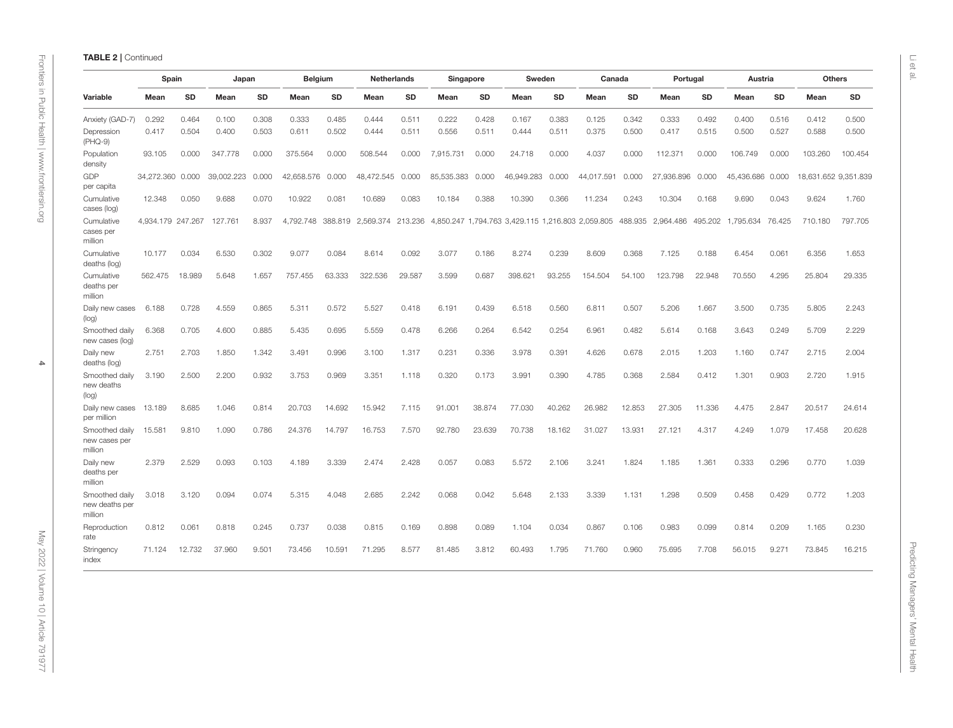|                                             | Spain             |        | Japan      |       | <b>Belgium</b> |        | <b>Netherlands</b> |        | Singapore  |        | Sweden                                                                                |        | Canada     |        | Portugal                  |        | Austria          |        |                      | <b>Others</b> |
|---------------------------------------------|-------------------|--------|------------|-------|----------------|--------|--------------------|--------|------------|--------|---------------------------------------------------------------------------------------|--------|------------|--------|---------------------------|--------|------------------|--------|----------------------|---------------|
| Variable                                    | Mean              | SD     | Mean       | SD    | Mean           | SD     | Mean               | SD     | Mean       | SD     | Mean                                                                                  | SD     | Mean       | SD     | Mean                      | SD     | Mean             | SD     | Mean                 | SD            |
| Anxiety (GAD-7)                             | 0.292             | 0.464  | 0.100      | 0.308 | 0.333          | 0.485  | 0.444              | 0.511  | 0.222      | 0.428  | 0.167                                                                                 | 0.383  | 0.125      | 0.342  | 0.333                     | 0.492  | 0.400            | 0.516  | 0.412                | 0.500         |
| Depression<br>$(PHQ-9)$                     | 0.417             | 0.504  | 0.400      | 0.503 | 0.611          | 0.502  | 0.444              | 0.511  | 0.556      | 0.511  | 0.444                                                                                 | 0.511  | 0.375      | 0.500  | 0.417                     | 0.515  | 0.500            | 0.527  | 0.588                | 0.500         |
| Population<br>density                       | 93.105            | 0.000  | 347,778    | 0.000 | 375.564        | 0.000  | 508.544            | 0.000  | 7,915.731  | 0.000  | 24.718                                                                                | 0.000  | 4.037      | 0.000  | 112.371                   | 0.000  | 106.749          | 0.000  | 103.260              | 100.454       |
| GDP<br>per capita                           | 34,272.360 0.000  |        | 39,002.223 | 0.000 | 42,658.576     | 0.000  | 48,472.545         | 0.000  | 85,535.383 | 0.000  | 46,949.283                                                                            | 0.000  | 44,017.591 | 0.000  | 27,936.896                | 0.000  | 45,436.686 0.000 |        | 18,631.652 9,351.839 |               |
| Cumulative<br>cases (log)                   | 12.348            | 0.050  | 9.688      | 0.070 | 10.922         | 0.081  | 10.689             | 0.083  | 10.184     | 0.388  | 10.390                                                                                | 0.366  | 11.234     | 0.243  | 10.304                    | 0.168  | 9.690            | 0.043  | 9.624                | 1.760         |
| Cumulative<br>cases per<br>million          | 4,934.179 247.267 |        | 127.761    | 8.937 |                |        |                    |        |            |        | 4,792.748 388.819 2,569.374 213.236 4,850.247 1,794.763 3,429.115 1,216.803 2,059.805 |        |            |        | 488.935 2,964.486 495.202 |        | 1,795.634        | 76.425 | 710.180              | 797.705       |
| Cumulative<br>deaths (log)                  | 10.177            | 0.034  | 6.530      | 0.302 | 9.077          | 0.084  | 8.614              | 0.092  | 3.077      | 0.186  | 8.274                                                                                 | 0.239  | 8.609      | 0.368  | 7.125                     | 0.188  | 6.454            | 0.061  | 6.356                | 1.653         |
| Cumulative<br>deaths per<br>million         | 562.475           | 18.989 | 5.648      | 1.657 | 757.455        | 63.333 | 322.536            | 29.587 | 3.599      | 0.687  | 398.621                                                                               | 93.255 | 154.504    | 54.100 | 123.798                   | 22.948 | 70.550           | 4.295  | 25.804               | 29.335        |
| Daily new cases<br>(log)                    | 6.188             | 0.728  | 4.559      | 0.865 | 5.311          | 0.572  | 5.527              | 0.418  | 6.191      | 0.439  | 6.518                                                                                 | 0.560  | 6.811      | 0.507  | 5.206                     | 1.667  | 3.500            | 0.735  | 5.805                | 2.243         |
| Smoothed daily<br>new cases (log)           | 6.368             | 0.705  | 4.600      | 0.885 | 5.435          | 0.695  | 5.559              | 0.478  | 6.266      | 0.264  | 6.542                                                                                 | 0.254  | 6.961      | 0.482  | 5.614                     | 0.168  | 3.643            | 0.249  | 5.709                | 2.229         |
| Daily new<br>deaths (log)                   | 2.751             | 2.703  | 1.850      | 1.342 | 3.491          | 0.996  | 3.100              | 1.317  | 0.231      | 0.336  | 3.978                                                                                 | 0.391  | 4.626      | 0.678  | 2.015                     | 1.203  | 1.160            | 0.747  | 2.715                | 2.004         |
| Smoothed daily<br>new deaths<br>(log)       | 3.190             | 2.500  | 2.200      | 0.932 | 3.753          | 0.969  | 3.351              | 1.118  | 0.320      | 0.173  | 3.991                                                                                 | 0.390  | 4.785      | 0.368  | 2.584                     | 0.412  | 1.301            | 0.903  | 2.720                | 1.915         |
| Daily new cases<br>per million              | 13.189            | 8.685  | 1.046      | 0.814 | 20.703         | 14.692 | 15.942             | 7.115  | 91.001     | 38.874 | 77.030                                                                                | 40.262 | 26.982     | 12.853 | 27.305                    | 11.336 | 4.475            | 2.847  | 20.517               | 24.614        |
| Smoothed daily<br>new cases per<br>million  | 15.581            | 9.810  | 1.090      | 0.786 | 24.376         | 14.797 | 16.753             | 7.570  | 92.780     | 23.639 | 70.738                                                                                | 18.162 | 31.027     | 13.931 | 27.121                    | 4.317  | 4.249            | 1.079  | 17.458               | 20.628        |
| Daily new<br>deaths per<br>million          | 2.379             | 2.529  | 0.093      | 0.103 | 4.189          | 3.339  | 2.474              | 2.428  | 0.057      | 0.083  | 5.572                                                                                 | 2.106  | 3.241      | 1.824  | 1.185                     | 1.361  | 0.333            | 0.296  | 0.770                | 1.039         |
| Smoothed daily<br>new deaths per<br>million | 3.018             | 3.120  | 0.094      | 0.074 | 5.315          | 4.048  | 2.685              | 2.242  | 0.068      | 0.042  | 5.648                                                                                 | 2.133  | 3.339      | 1.131  | 1.298                     | 0.509  | 0.458            | 0.429  | 0.772                | 1.203         |
| Reproduction<br>rate                        | 0.812             | 0.061  | 0.818      | 0.245 | 0.737          | 0.038  | 0.815              | 0.169  | 0.898      | 0.089  | 1.104                                                                                 | 0.034  | 0.867      | 0.106  | 0.983                     | 0.099  | 0.814            | 0.209  | 1.165                | 0.230         |
| Stringency                                  | 71.124            | 12.732 | 37.960     | 9.501 | 73.456         | 10.591 | 71.295             | 8.577  | 81.485     | 3.812  | 60.493                                                                                | 1.795  | 71.760     | 0.960  | 75.695                    | 7.708  | 56.015           | 9.271  | 73.845               | 16.215        |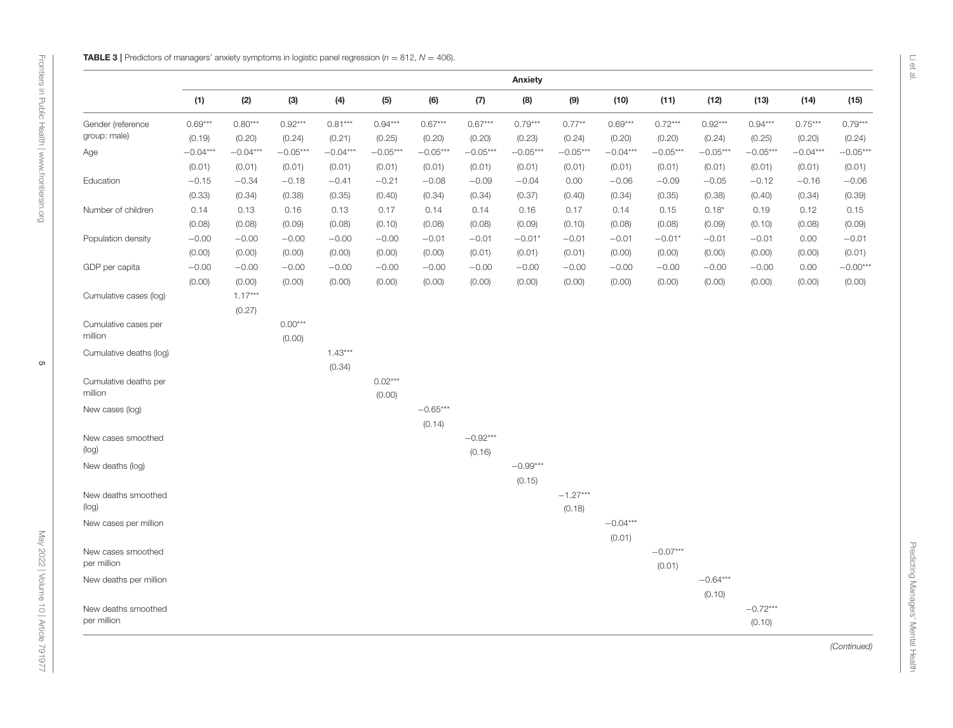<span id="page-4-0"></span>

| (1)<br>(2)<br>(3)<br>(4)<br>(5)<br>(6)<br>(7)<br>(8)<br>(9)<br>(10)<br>(11)<br>(12)<br>(13)<br>(14)<br>$0.80***$<br>$0.92***$<br>$0.81***$<br>$0.67***$<br>$0.94***$<br>$0.75***$<br>$0.69***$<br>$0.94***$<br>$0.67***$<br>$0.79***$<br>$0.77***$<br>$0.69***$<br>$0.72***$<br>$0.92***$<br>Gender (reference<br>group: male)<br>(0.23)<br>(0.24)<br>(0.19)<br>(0.20)<br>(0.24)<br>(0.21)<br>(0.25)<br>(0.20)<br>(0.20)<br>(0.20)<br>(0.20)<br>(0.24)<br>(0.25)<br>(0.20)<br>$-0.04***$<br>$-0.04***$<br>$-0.05***$<br>$-0.04***$<br>$-0.05***$<br>$-0.05***$<br>$-0.05***$<br>$-0.05***$<br>$-0.05***$<br>$-0.04***$<br>$-0.05***$<br>$-0.05***$<br>$-0.05***$<br>$-0.04***$<br>Age<br>(0.01)<br>(0.01)<br>(0.01)<br>(0.01)<br>(0.01)<br>(0.01)<br>(0.01)<br>(0.01)<br>(0.01)<br>(0.01)<br>(0.01)<br>(0.01)<br>(0.01)<br>(0.01)<br>$-0.15$<br>$-0.34$<br>$-0.08$<br>$-0.09$<br>$-0.04$<br>0.00<br>$-0.06$<br>$-0.09$<br>$-0.05$<br>$-0.12$<br>Education<br>$-0.18$<br>$-0.41$<br>$-0.21$<br>$-0.16$<br>(0.33)<br>(0.34)<br>(0.38)<br>(0.35)<br>(0.40)<br>(0.34)<br>(0.34)<br>(0.37)<br>(0.40)<br>(0.34)<br>(0.35)<br>(0.40)<br>(0.34)<br>(0.38)<br>Number of children<br>0.13<br>0.16<br>0.13<br>0.16<br>0.17<br>$0.18*$<br>0.19<br>0.12<br>0.14<br>0.17<br>0.14<br>0.14<br>0.14<br>0.15<br>(0.08)<br>(0.08)<br>(0.09)<br>(0.08)<br>(0.10)<br>(0.08)<br>(0.08)<br>(0.09)<br>(0.08)<br>(0.08)<br>(0.09)<br>(0.10)<br>(0.08)<br>(0.10)<br>$-0.00$<br>$-0.00$<br>$-0.00$<br>$-0.00$<br>$-0.01$<br>$-0.01*$<br>$-0.01$<br>0.00<br>Population density<br>$-0.00$<br>$-0.01$<br>$-0.01$<br>$-0.01$<br>$-0.01*$<br>$-0.01$<br>(0.00)<br>(0.00)<br>(0.00)<br>(0.00)<br>(0.00)<br>(0.00)<br>(0.01)<br>(0.01)<br>(0.01)<br>(0.00)<br>(0.00)<br>(0.00)<br>(0.00)<br>(0.00)<br>$-0.00$<br>$-0.00$<br>$-0.00$<br>$-0.00$<br>$-0.00$<br>$-0.00$<br>$-0.00$<br>$-0.00$<br>$-0.00$<br>$-0.00$<br>$-0.00$<br>$-0.00$<br>0.00<br>GDP per capita<br>$-0.00$<br>(0.00)<br>(0.00)<br>(0.00)<br>(0.00)<br>(0.00)<br>(0.00)<br>(0.00)<br>(0.00)<br>(0.00)<br>(0.00)<br>(0.00)<br>(0.00)<br>(0.00)<br>(0.00)<br>$1.17***$<br>Cumulative cases (log)<br>(0.27)<br>$0.00***$<br>Cumulative cases per<br>million<br>(0.00)<br>$1.43***$<br>Cumulative deaths (log)<br>(0.34)<br>$0.02***$<br>Cumulative deaths per<br>million<br>(0.00)<br>$-0.65***$<br>New cases (log)<br>(0.14)<br>$-0.92***$<br>New cases smoothed<br>(log)<br>(0.16)<br>$-0.99***$<br>New deaths (log)<br>(0.15)<br>$-1.27***$<br>New deaths smoothed<br>(log)<br>(0.18)<br>$-0.04***$<br>New cases per million<br>(0.01)<br>$-0.07***$<br>New cases smoothed<br>per million<br>(0.01)<br>$-0.64***$<br>New deaths per million<br>(0.10)<br>$-0.72***$<br>New deaths smoothed<br>per million<br>(0.10) |  |  |  |  | Anxiety |  |  |  |            |
|----------------------------------------------------------------------------------------------------------------------------------------------------------------------------------------------------------------------------------------------------------------------------------------------------------------------------------------------------------------------------------------------------------------------------------------------------------------------------------------------------------------------------------------------------------------------------------------------------------------------------------------------------------------------------------------------------------------------------------------------------------------------------------------------------------------------------------------------------------------------------------------------------------------------------------------------------------------------------------------------------------------------------------------------------------------------------------------------------------------------------------------------------------------------------------------------------------------------------------------------------------------------------------------------------------------------------------------------------------------------------------------------------------------------------------------------------------------------------------------------------------------------------------------------------------------------------------------------------------------------------------------------------------------------------------------------------------------------------------------------------------------------------------------------------------------------------------------------------------------------------------------------------------------------------------------------------------------------------------------------------------------------------------------------------------------------------------------------------------------------------------------------------------------------------------------------------------------------------------------------------------------------------------------------------------------------------------------------------------------------------------------------------------------------------------------------------------------------------------------------------------------------------------------------------------------------------------------------------------------------------------------------------------------------------------------------------------------------------------------------------|--|--|--|--|---------|--|--|--|------------|
|                                                                                                                                                                                                                                                                                                                                                                                                                                                                                                                                                                                                                                                                                                                                                                                                                                                                                                                                                                                                                                                                                                                                                                                                                                                                                                                                                                                                                                                                                                                                                                                                                                                                                                                                                                                                                                                                                                                                                                                                                                                                                                                                                                                                                                                                                                                                                                                                                                                                                                                                                                                                                                                                                                                                                    |  |  |  |  |         |  |  |  | (15)       |
|                                                                                                                                                                                                                                                                                                                                                                                                                                                                                                                                                                                                                                                                                                                                                                                                                                                                                                                                                                                                                                                                                                                                                                                                                                                                                                                                                                                                                                                                                                                                                                                                                                                                                                                                                                                                                                                                                                                                                                                                                                                                                                                                                                                                                                                                                                                                                                                                                                                                                                                                                                                                                                                                                                                                                    |  |  |  |  |         |  |  |  | $0.79***$  |
|                                                                                                                                                                                                                                                                                                                                                                                                                                                                                                                                                                                                                                                                                                                                                                                                                                                                                                                                                                                                                                                                                                                                                                                                                                                                                                                                                                                                                                                                                                                                                                                                                                                                                                                                                                                                                                                                                                                                                                                                                                                                                                                                                                                                                                                                                                                                                                                                                                                                                                                                                                                                                                                                                                                                                    |  |  |  |  |         |  |  |  | (0.24)     |
|                                                                                                                                                                                                                                                                                                                                                                                                                                                                                                                                                                                                                                                                                                                                                                                                                                                                                                                                                                                                                                                                                                                                                                                                                                                                                                                                                                                                                                                                                                                                                                                                                                                                                                                                                                                                                                                                                                                                                                                                                                                                                                                                                                                                                                                                                                                                                                                                                                                                                                                                                                                                                                                                                                                                                    |  |  |  |  |         |  |  |  | $-0.05***$ |
|                                                                                                                                                                                                                                                                                                                                                                                                                                                                                                                                                                                                                                                                                                                                                                                                                                                                                                                                                                                                                                                                                                                                                                                                                                                                                                                                                                                                                                                                                                                                                                                                                                                                                                                                                                                                                                                                                                                                                                                                                                                                                                                                                                                                                                                                                                                                                                                                                                                                                                                                                                                                                                                                                                                                                    |  |  |  |  |         |  |  |  | (0.01)     |
|                                                                                                                                                                                                                                                                                                                                                                                                                                                                                                                                                                                                                                                                                                                                                                                                                                                                                                                                                                                                                                                                                                                                                                                                                                                                                                                                                                                                                                                                                                                                                                                                                                                                                                                                                                                                                                                                                                                                                                                                                                                                                                                                                                                                                                                                                                                                                                                                                                                                                                                                                                                                                                                                                                                                                    |  |  |  |  |         |  |  |  | $-0.06$    |
|                                                                                                                                                                                                                                                                                                                                                                                                                                                                                                                                                                                                                                                                                                                                                                                                                                                                                                                                                                                                                                                                                                                                                                                                                                                                                                                                                                                                                                                                                                                                                                                                                                                                                                                                                                                                                                                                                                                                                                                                                                                                                                                                                                                                                                                                                                                                                                                                                                                                                                                                                                                                                                                                                                                                                    |  |  |  |  |         |  |  |  | (0.39)     |
|                                                                                                                                                                                                                                                                                                                                                                                                                                                                                                                                                                                                                                                                                                                                                                                                                                                                                                                                                                                                                                                                                                                                                                                                                                                                                                                                                                                                                                                                                                                                                                                                                                                                                                                                                                                                                                                                                                                                                                                                                                                                                                                                                                                                                                                                                                                                                                                                                                                                                                                                                                                                                                                                                                                                                    |  |  |  |  |         |  |  |  | 0.15       |
|                                                                                                                                                                                                                                                                                                                                                                                                                                                                                                                                                                                                                                                                                                                                                                                                                                                                                                                                                                                                                                                                                                                                                                                                                                                                                                                                                                                                                                                                                                                                                                                                                                                                                                                                                                                                                                                                                                                                                                                                                                                                                                                                                                                                                                                                                                                                                                                                                                                                                                                                                                                                                                                                                                                                                    |  |  |  |  |         |  |  |  | (0.09)     |
|                                                                                                                                                                                                                                                                                                                                                                                                                                                                                                                                                                                                                                                                                                                                                                                                                                                                                                                                                                                                                                                                                                                                                                                                                                                                                                                                                                                                                                                                                                                                                                                                                                                                                                                                                                                                                                                                                                                                                                                                                                                                                                                                                                                                                                                                                                                                                                                                                                                                                                                                                                                                                                                                                                                                                    |  |  |  |  |         |  |  |  | $-0.01$    |
|                                                                                                                                                                                                                                                                                                                                                                                                                                                                                                                                                                                                                                                                                                                                                                                                                                                                                                                                                                                                                                                                                                                                                                                                                                                                                                                                                                                                                                                                                                                                                                                                                                                                                                                                                                                                                                                                                                                                                                                                                                                                                                                                                                                                                                                                                                                                                                                                                                                                                                                                                                                                                                                                                                                                                    |  |  |  |  |         |  |  |  | (0.01)     |
|                                                                                                                                                                                                                                                                                                                                                                                                                                                                                                                                                                                                                                                                                                                                                                                                                                                                                                                                                                                                                                                                                                                                                                                                                                                                                                                                                                                                                                                                                                                                                                                                                                                                                                                                                                                                                                                                                                                                                                                                                                                                                                                                                                                                                                                                                                                                                                                                                                                                                                                                                                                                                                                                                                                                                    |  |  |  |  |         |  |  |  | $-0.00***$ |
|                                                                                                                                                                                                                                                                                                                                                                                                                                                                                                                                                                                                                                                                                                                                                                                                                                                                                                                                                                                                                                                                                                                                                                                                                                                                                                                                                                                                                                                                                                                                                                                                                                                                                                                                                                                                                                                                                                                                                                                                                                                                                                                                                                                                                                                                                                                                                                                                                                                                                                                                                                                                                                                                                                                                                    |  |  |  |  |         |  |  |  | (0.00)     |
|                                                                                                                                                                                                                                                                                                                                                                                                                                                                                                                                                                                                                                                                                                                                                                                                                                                                                                                                                                                                                                                                                                                                                                                                                                                                                                                                                                                                                                                                                                                                                                                                                                                                                                                                                                                                                                                                                                                                                                                                                                                                                                                                                                                                                                                                                                                                                                                                                                                                                                                                                                                                                                                                                                                                                    |  |  |  |  |         |  |  |  |            |
|                                                                                                                                                                                                                                                                                                                                                                                                                                                                                                                                                                                                                                                                                                                                                                                                                                                                                                                                                                                                                                                                                                                                                                                                                                                                                                                                                                                                                                                                                                                                                                                                                                                                                                                                                                                                                                                                                                                                                                                                                                                                                                                                                                                                                                                                                                                                                                                                                                                                                                                                                                                                                                                                                                                                                    |  |  |  |  |         |  |  |  |            |
|                                                                                                                                                                                                                                                                                                                                                                                                                                                                                                                                                                                                                                                                                                                                                                                                                                                                                                                                                                                                                                                                                                                                                                                                                                                                                                                                                                                                                                                                                                                                                                                                                                                                                                                                                                                                                                                                                                                                                                                                                                                                                                                                                                                                                                                                                                                                                                                                                                                                                                                                                                                                                                                                                                                                                    |  |  |  |  |         |  |  |  |            |
|                                                                                                                                                                                                                                                                                                                                                                                                                                                                                                                                                                                                                                                                                                                                                                                                                                                                                                                                                                                                                                                                                                                                                                                                                                                                                                                                                                                                                                                                                                                                                                                                                                                                                                                                                                                                                                                                                                                                                                                                                                                                                                                                                                                                                                                                                                                                                                                                                                                                                                                                                                                                                                                                                                                                                    |  |  |  |  |         |  |  |  |            |
|                                                                                                                                                                                                                                                                                                                                                                                                                                                                                                                                                                                                                                                                                                                                                                                                                                                                                                                                                                                                                                                                                                                                                                                                                                                                                                                                                                                                                                                                                                                                                                                                                                                                                                                                                                                                                                                                                                                                                                                                                                                                                                                                                                                                                                                                                                                                                                                                                                                                                                                                                                                                                                                                                                                                                    |  |  |  |  |         |  |  |  |            |
|                                                                                                                                                                                                                                                                                                                                                                                                                                                                                                                                                                                                                                                                                                                                                                                                                                                                                                                                                                                                                                                                                                                                                                                                                                                                                                                                                                                                                                                                                                                                                                                                                                                                                                                                                                                                                                                                                                                                                                                                                                                                                                                                                                                                                                                                                                                                                                                                                                                                                                                                                                                                                                                                                                                                                    |  |  |  |  |         |  |  |  |            |
|                                                                                                                                                                                                                                                                                                                                                                                                                                                                                                                                                                                                                                                                                                                                                                                                                                                                                                                                                                                                                                                                                                                                                                                                                                                                                                                                                                                                                                                                                                                                                                                                                                                                                                                                                                                                                                                                                                                                                                                                                                                                                                                                                                                                                                                                                                                                                                                                                                                                                                                                                                                                                                                                                                                                                    |  |  |  |  |         |  |  |  |            |
|                                                                                                                                                                                                                                                                                                                                                                                                                                                                                                                                                                                                                                                                                                                                                                                                                                                                                                                                                                                                                                                                                                                                                                                                                                                                                                                                                                                                                                                                                                                                                                                                                                                                                                                                                                                                                                                                                                                                                                                                                                                                                                                                                                                                                                                                                                                                                                                                                                                                                                                                                                                                                                                                                                                                                    |  |  |  |  |         |  |  |  |            |
|                                                                                                                                                                                                                                                                                                                                                                                                                                                                                                                                                                                                                                                                                                                                                                                                                                                                                                                                                                                                                                                                                                                                                                                                                                                                                                                                                                                                                                                                                                                                                                                                                                                                                                                                                                                                                                                                                                                                                                                                                                                                                                                                                                                                                                                                                                                                                                                                                                                                                                                                                                                                                                                                                                                                                    |  |  |  |  |         |  |  |  |            |
|                                                                                                                                                                                                                                                                                                                                                                                                                                                                                                                                                                                                                                                                                                                                                                                                                                                                                                                                                                                                                                                                                                                                                                                                                                                                                                                                                                                                                                                                                                                                                                                                                                                                                                                                                                                                                                                                                                                                                                                                                                                                                                                                                                                                                                                                                                                                                                                                                                                                                                                                                                                                                                                                                                                                                    |  |  |  |  |         |  |  |  |            |
|                                                                                                                                                                                                                                                                                                                                                                                                                                                                                                                                                                                                                                                                                                                                                                                                                                                                                                                                                                                                                                                                                                                                                                                                                                                                                                                                                                                                                                                                                                                                                                                                                                                                                                                                                                                                                                                                                                                                                                                                                                                                                                                                                                                                                                                                                                                                                                                                                                                                                                                                                                                                                                                                                                                                                    |  |  |  |  |         |  |  |  |            |
|                                                                                                                                                                                                                                                                                                                                                                                                                                                                                                                                                                                                                                                                                                                                                                                                                                                                                                                                                                                                                                                                                                                                                                                                                                                                                                                                                                                                                                                                                                                                                                                                                                                                                                                                                                                                                                                                                                                                                                                                                                                                                                                                                                                                                                                                                                                                                                                                                                                                                                                                                                                                                                                                                                                                                    |  |  |  |  |         |  |  |  |            |
|                                                                                                                                                                                                                                                                                                                                                                                                                                                                                                                                                                                                                                                                                                                                                                                                                                                                                                                                                                                                                                                                                                                                                                                                                                                                                                                                                                                                                                                                                                                                                                                                                                                                                                                                                                                                                                                                                                                                                                                                                                                                                                                                                                                                                                                                                                                                                                                                                                                                                                                                                                                                                                                                                                                                                    |  |  |  |  |         |  |  |  |            |
|                                                                                                                                                                                                                                                                                                                                                                                                                                                                                                                                                                                                                                                                                                                                                                                                                                                                                                                                                                                                                                                                                                                                                                                                                                                                                                                                                                                                                                                                                                                                                                                                                                                                                                                                                                                                                                                                                                                                                                                                                                                                                                                                                                                                                                                                                                                                                                                                                                                                                                                                                                                                                                                                                                                                                    |  |  |  |  |         |  |  |  |            |
|                                                                                                                                                                                                                                                                                                                                                                                                                                                                                                                                                                                                                                                                                                                                                                                                                                                                                                                                                                                                                                                                                                                                                                                                                                                                                                                                                                                                                                                                                                                                                                                                                                                                                                                                                                                                                                                                                                                                                                                                                                                                                                                                                                                                                                                                                                                                                                                                                                                                                                                                                                                                                                                                                                                                                    |  |  |  |  |         |  |  |  |            |
|                                                                                                                                                                                                                                                                                                                                                                                                                                                                                                                                                                                                                                                                                                                                                                                                                                                                                                                                                                                                                                                                                                                                                                                                                                                                                                                                                                                                                                                                                                                                                                                                                                                                                                                                                                                                                                                                                                                                                                                                                                                                                                                                                                                                                                                                                                                                                                                                                                                                                                                                                                                                                                                                                                                                                    |  |  |  |  |         |  |  |  |            |
|                                                                                                                                                                                                                                                                                                                                                                                                                                                                                                                                                                                                                                                                                                                                                                                                                                                                                                                                                                                                                                                                                                                                                                                                                                                                                                                                                                                                                                                                                                                                                                                                                                                                                                                                                                                                                                                                                                                                                                                                                                                                                                                                                                                                                                                                                                                                                                                                                                                                                                                                                                                                                                                                                                                                                    |  |  |  |  |         |  |  |  |            |
|                                                                                                                                                                                                                                                                                                                                                                                                                                                                                                                                                                                                                                                                                                                                                                                                                                                                                                                                                                                                                                                                                                                                                                                                                                                                                                                                                                                                                                                                                                                                                                                                                                                                                                                                                                                                                                                                                                                                                                                                                                                                                                                                                                                                                                                                                                                                                                                                                                                                                                                                                                                                                                                                                                                                                    |  |  |  |  |         |  |  |  |            |
|                                                                                                                                                                                                                                                                                                                                                                                                                                                                                                                                                                                                                                                                                                                                                                                                                                                                                                                                                                                                                                                                                                                                                                                                                                                                                                                                                                                                                                                                                                                                                                                                                                                                                                                                                                                                                                                                                                                                                                                                                                                                                                                                                                                                                                                                                                                                                                                                                                                                                                                                                                                                                                                                                                                                                    |  |  |  |  |         |  |  |  |            |
|                                                                                                                                                                                                                                                                                                                                                                                                                                                                                                                                                                                                                                                                                                                                                                                                                                                                                                                                                                                                                                                                                                                                                                                                                                                                                                                                                                                                                                                                                                                                                                                                                                                                                                                                                                                                                                                                                                                                                                                                                                                                                                                                                                                                                                                                                                                                                                                                                                                                                                                                                                                                                                                                                                                                                    |  |  |  |  |         |  |  |  |            |
|                                                                                                                                                                                                                                                                                                                                                                                                                                                                                                                                                                                                                                                                                                                                                                                                                                                                                                                                                                                                                                                                                                                                                                                                                                                                                                                                                                                                                                                                                                                                                                                                                                                                                                                                                                                                                                                                                                                                                                                                                                                                                                                                                                                                                                                                                                                                                                                                                                                                                                                                                                                                                                                                                                                                                    |  |  |  |  |         |  |  |  |            |
|                                                                                                                                                                                                                                                                                                                                                                                                                                                                                                                                                                                                                                                                                                                                                                                                                                                                                                                                                                                                                                                                                                                                                                                                                                                                                                                                                                                                                                                                                                                                                                                                                                                                                                                                                                                                                                                                                                                                                                                                                                                                                                                                                                                                                                                                                                                                                                                                                                                                                                                                                                                                                                                                                                                                                    |  |  |  |  |         |  |  |  |            |
|                                                                                                                                                                                                                                                                                                                                                                                                                                                                                                                                                                                                                                                                                                                                                                                                                                                                                                                                                                                                                                                                                                                                                                                                                                                                                                                                                                                                                                                                                                                                                                                                                                                                                                                                                                                                                                                                                                                                                                                                                                                                                                                                                                                                                                                                                                                                                                                                                                                                                                                                                                                                                                                                                                                                                    |  |  |  |  |         |  |  |  |            |
|                                                                                                                                                                                                                                                                                                                                                                                                                                                                                                                                                                                                                                                                                                                                                                                                                                                                                                                                                                                                                                                                                                                                                                                                                                                                                                                                                                                                                                                                                                                                                                                                                                                                                                                                                                                                                                                                                                                                                                                                                                                                                                                                                                                                                                                                                                                                                                                                                                                                                                                                                                                                                                                                                                                                                    |  |  |  |  |         |  |  |  |            |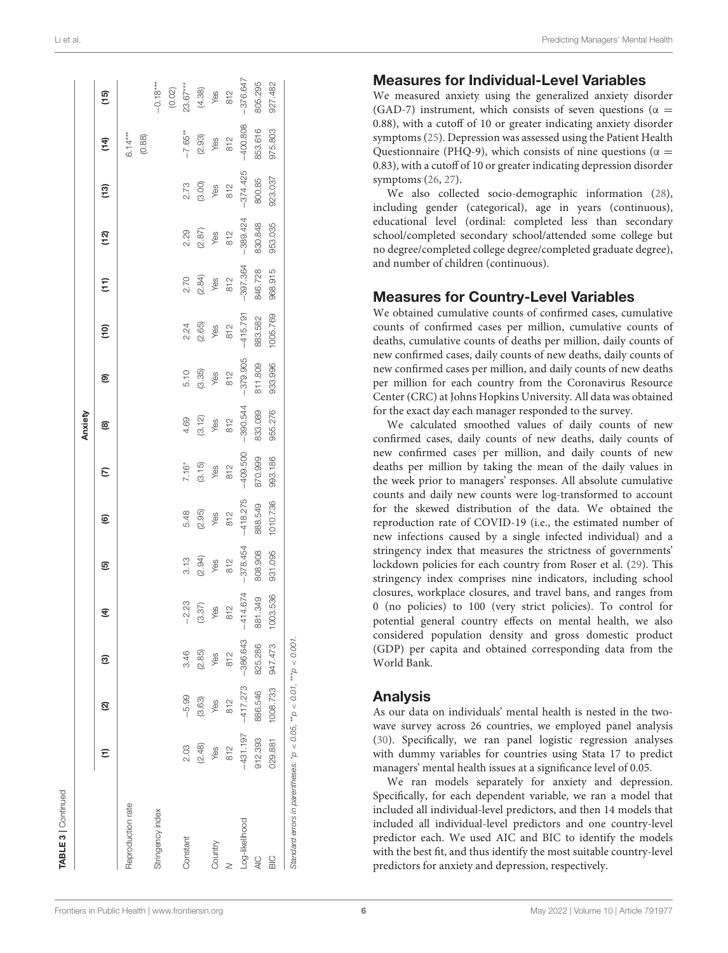| <b>TABLE 3</b>   Continued                                                |            |            |            |                 |                        |                 |                           |                 |                       |                                                     |                        |                 |                                  |                        |                        |
|---------------------------------------------------------------------------|------------|------------|------------|-----------------|------------------------|-----------------|---------------------------|-----------------|-----------------------|-----------------------------------------------------|------------------------|-----------------|----------------------------------|------------------------|------------------------|
|                                                                           |            |            |            |                 |                        |                 |                           | Anxiety         |                       |                                                     |                        |                 |                                  |                        |                        |
|                                                                           | Ξ          | ହ          | ම          | E               | ම                      | ම               | E                         | @               | ම                     | $\overline{c}$                                      | $\widehat{E}$          | (12)            | ີ (13)                           | $\frac{4}{5}$          | (15)                   |
| Reproduction rate                                                         |            |            |            |                 |                        |                 |                           |                 |                       |                                                     |                        |                 |                                  | $6.14***$              |                        |
|                                                                           |            |            |            |                 |                        |                 |                           |                 |                       |                                                     |                        |                 |                                  | $(0.88)$               |                        |
| Stringency index                                                          |            |            |            |                 |                        |                 |                           |                 |                       |                                                     |                        |                 |                                  |                        | $-0.18***$             |
|                                                                           |            |            |            |                 |                        |                 |                           |                 |                       |                                                     |                        |                 |                                  |                        | (0.02)                 |
| Constant                                                                  | 2.03       | $-5.99$    | 3.46       | $-2.23$         | 3.13                   | 5.48            |                           | 4.69            |                       |                                                     | 2.70                   | 2.29            |                                  | $-7.65**$              | $23.67***$             |
|                                                                           | (2.48)     | (3.63)     | (2.85)     | $(3.37)$<br>Yes |                        | $(2.95)$<br>Yes | $7.16^*$<br>(3.15)<br>Yes | $(3.12)$<br>Yes | 5.10<br>(3.35)<br>Yes | $2.24$<br>$(2.65)$<br>$\sqrt{6.5}$<br>$\sqrt{6.25}$ | $(2.84)$<br>Yes<br>812 | $(2.87)$<br>Yes | $2.73$<br>$(3.00)$<br>Yes<br>812 | $(2.93)$<br>Yes<br>812 |                        |
| Country                                                                   | Yes        | Yes        | Yes        |                 | $(2.94)$<br>Yes<br>812 |                 |                           |                 |                       |                                                     |                        |                 |                                  |                        | $(4.38)$<br>Yes<br>812 |
|                                                                           | 812        | 812        | 812        | 812             |                        | 812             | 812                       | 812             | 812                   |                                                     |                        | 812             |                                  |                        |                        |
| Log-likelihood                                                            | $-431.197$ | $-417.273$ | $-386.643$ | $-414.674$      | $-378.454$             | $-418.275$      | $-409.500$                | $-390.544$      | $-379.905$            | $-415.791$                                          | $-397.364$             | $-389.424$      | $-374.425$                       | $-400.808$             | $-376.647$             |
| $\frac{C}{4}$                                                             | 912.393    | 886.546    | 825.286    | 881.349         | 808.908                | 888.549         | 870.999                   | 833.089         | 811.809               | 883.582                                             | 846.728                | 830.848         | 800.85                           | 853.616                | 805.295                |
| $\frac{C}{D}$                                                             | 029.881    | 1008.733   | 947.473    | 1003.536        | 931.095                | 1010.736        | 993.186                   | 955.276         | 933.996               | 1005.769                                            | 968.915                | 953.035         | 923.037                          | 975.803                | 927.482                |
| Standard errors in parentheses. $p > 0.05$ , $p > 0.01$ , $m p > 0.001$ . |            |            |            |                 |                        |                 |                           |                 |                       |                                                     |                        |                 |                                  |                        |                        |

### Measures for Individual-Level Variables

We measured anxiety using the generalized anxiety disorder (GAD-7) instrument, which consists of seven questions ( $\alpha$  = 0.88), with a cutoff of 10 or greater indicating anxiety disorder symptoms [\(25\)](#page-13-15). Depression was assessed using the Patient Health Questionnaire (PHQ-9), which consists of nine questions ( $\alpha$  = 0.83), with a cutoff of 10 or greater indicating depression disorder symptoms [\(26,](#page-13-16) [27\)](#page-13-17).

We also collected socio-demographic information [\(28\)](#page-13-18), including gender (categorical), age in years (continuous), educational level (ordinal: completed less than secondary school/completed secondary school/attended some college but no degree/completed college degree/completed graduate degree), and number of children (continuous).

### Measures for Country-Level Variables

We obtained cumulative counts of confirmed cases, cumulative counts of confirmed cases per million, cumulative counts of deaths, cumulative counts of deaths per million, daily counts of new confirmed cases, daily counts of new deaths, daily counts of new confirmed cases per million, and daily counts of new deaths per million for each country from the Coronavirus Resource Center (CRC) at Johns Hopkins University. All data was obtained for the exact day each manager responded to the survey.

We calculated smoothed values of daily counts of new confirmed cases, daily counts of new deaths, daily counts of new confirmed cases per million, and daily counts of new deaths per million by taking the mean of the daily values in the week prior to managers' responses. All absolute cumulative counts and daily new counts were log-transformed to account for the skewed distribution of the data. We obtained the reproduction rate of COVID-19 (i.e., the estimated number of new infections caused by a single infected individual) and a stringency index that measures the strictness of governments' lockdown policies for each country from Roser et al. [\(29\)](#page-13-19). This stringency index comprises nine indicators, including school closures, workplace closures, and travel bans, and ranges from 0 (no policies) to 100 (very strict policies). To control for potential general country effects on mental health, we also considered population density and gross domestic product (GDP) per capita and obtained corresponding data from the World Bank.

### Analysis

As our data on individuals' mental health is nested in the twowave survey across 26 countries, we employed panel analysis [\(30\)](#page-13-20). Specifically, we ran panel logistic regression analyses with dummy variables for countries using Stata 17 to predict managers' mental health issues at a significance level of 0.05.

We ran models separately for anxiety and depression. Specifically, for each dependent variable, we ran a model that included all individual-level predictors, and then 14 models that included all individual-level predictors and one country-level predictor each. We used AIC and BIC to identify the models with the best fit, and thus identify the most suitable country-level predictors for anxiety and depression, respectively.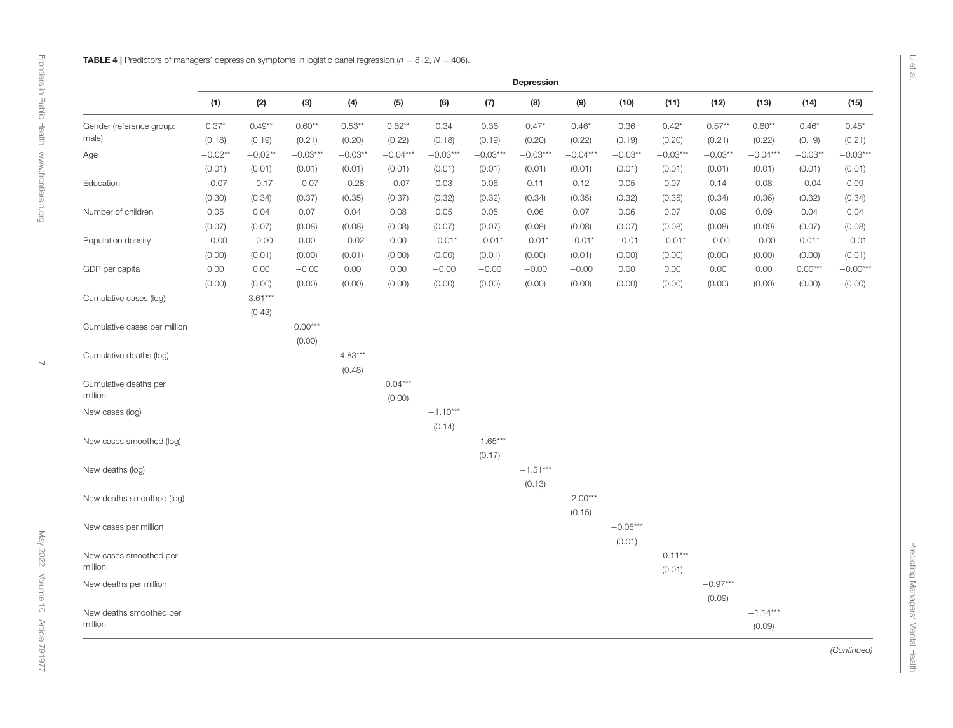<span id="page-6-0"></span>

|                                    |           |           |            |           |            |            |            | <b>Depression</b> |            |            |            |            |            |           |            |
|------------------------------------|-----------|-----------|------------|-----------|------------|------------|------------|-------------------|------------|------------|------------|------------|------------|-----------|------------|
|                                    | (1)       | (2)       | (3)        | (4)       | (5)        | (6)        | (7)        | (8)               | (9)        | (10)       | (11)       | (12)       | (13)       | (14)      | (15)       |
| Gender (reference group:           | $0.37*$   | $0.49**$  | $0.60**$   | $0.53**$  | $0.62**$   | 0.34       | 0.36       | $0.47*$           | $0.46*$    | 0.36       | $0.42*$    | $0.57**$   | $0.60**$   | $0.46*$   | $0.45*$    |
| male)                              | (0.18)    | (0.19)    | (0.21)     | (0.20)    | (0.22)     | (0.18)     | (0.19)     | (0.20)            | (0.22)     | (0.19)     | (0.20)     | (0.21)     | (0.22)     | (0.19)    | (0.21)     |
| Age                                | $-0.02**$ | $-0.02**$ | $-0.03***$ | $-0.03**$ | $-0.04***$ | $-0.03***$ | $-0.03***$ | $-0.03***$        | $-0.04***$ | $-0.03**$  | $-0.03***$ | $-0.03**$  | $-0.04***$ | $-0.03**$ | $-0.03***$ |
|                                    | (0.01)    | (0.01)    | (0.01)     | (0.01)    | (0.01)     | (0.01)     | (0.01)     | (0.01)            | (0.01)     | (0.01)     | (0.01)     | (0.01)     | (0.01)     | (0.01)    | (0.01)     |
| Education                          | $-0.07$   | $-0.17$   | $-0.07$    | $-0.28$   | $-0.07$    | 0.03       | 0.06       | 0.11              | 0.12       | 0.05       | 0.07       | 0.14       | 0.08       | $-0.04$   | 0.09       |
|                                    | (0.30)    | (0.34)    | (0.37)     | (0.35)    | (0.37)     | (0.32)     | (0.32)     | (0.34)            | (0.35)     | (0.32)     | (0.35)     | (0.34)     | (0.36)     | (0.32)    | (0.34)     |
| Number of children                 | 0.05      | 0.04      | 0.07       | 0.04      | 0.08       | 0.05       | 0.05       | 0.06              | 0.07       | 0.06       | 0.07       | 0.09       | 0.09       | 0.04      | 0.04       |
|                                    | (0.07)    | (0.07)    | (0.08)     | (0.08)    | (0.08)     | (0.07)     | (0.07)     | (0.08)            | (0.08)     | (0.07)     | (0.08)     | (0.08)     | (0.09)     | (0.07)    | (0.08)     |
| Population density                 | $-0.00$   | $-0.00$   | 0.00       | $-0.02$   | 0.00       | $-0.01*$   | $-0.01*$   | $-0.01*$          | $-0.01*$   | $-0.01$    | $-0.01*$   | $-0.00$    | $-0.00$    | $0.01*$   | $-0.01$    |
|                                    | (0.00)    | (0.01)    | (0.00)     | (0.01)    | (0.00)     | (0.00)     | (0.01)     | (0.00)            | (0.01)     | (0.00)     | (0.00)     | (0.00)     | (0.00)     | (0.00)    | (0.01)     |
| GDP per capita                     | 0.00      | 0.00      | $-0.00$    | 0.00      | 0.00       | $-0.00$    | $-0.00$    | $-0.00$           | $-0.00$    | 0.00       | 0.00       | 0.00       | 0.00       | $0.00***$ | $-0.00***$ |
|                                    | (0.00)    | (0.00)    | (0.00)     | (0.00)    | (0.00)     | (0.00)     | (0.00)     | (0.00)            | (0.00)     | (0.00)     | (0.00)     | (0.00)     | (0.00)     | (0.00)    | (0.00)     |
| Cumulative cases (log)             |           | $3.61***$ |            |           |            |            |            |                   |            |            |            |            |            |           |            |
|                                    |           | (0.43)    |            |           |            |            |            |                   |            |            |            |            |            |           |            |
| Cumulative cases per million       |           |           | $0.00***$  |           |            |            |            |                   |            |            |            |            |            |           |            |
|                                    |           |           | (0.00)     |           |            |            |            |                   |            |            |            |            |            |           |            |
| Cumulative deaths (log)            |           |           |            | $4.83***$ |            |            |            |                   |            |            |            |            |            |           |            |
|                                    |           |           |            | (0.48)    |            |            |            |                   |            |            |            |            |            |           |            |
| Cumulative deaths per              |           |           |            |           | $0.04***$  |            |            |                   |            |            |            |            |            |           |            |
| million                            |           |           |            |           | (0.00)     |            |            |                   |            |            |            |            |            |           |            |
| New cases (log)                    |           |           |            |           |            | $-1.10***$ |            |                   |            |            |            |            |            |           |            |
|                                    |           |           |            |           |            | (0.14)     |            |                   |            |            |            |            |            |           |            |
| New cases smoothed (log)           |           |           |            |           |            |            | $-1.65***$ |                   |            |            |            |            |            |           |            |
|                                    |           |           |            |           |            |            | (0.17)     |                   |            |            |            |            |            |           |            |
| New deaths (log)                   |           |           |            |           |            |            |            | $-1.51***$        |            |            |            |            |            |           |            |
|                                    |           |           |            |           |            |            |            | (0.13)            |            |            |            |            |            |           |            |
| New deaths smoothed (log)          |           |           |            |           |            |            |            |                   | $-2.00***$ |            |            |            |            |           |            |
|                                    |           |           |            |           |            |            |            |                   | (0.15)     |            |            |            |            |           |            |
| New cases per million              |           |           |            |           |            |            |            |                   |            | $-0.05***$ |            |            |            |           |            |
|                                    |           |           |            |           |            |            |            |                   |            | (0.01)     |            |            |            |           |            |
| New cases smoothed per             |           |           |            |           |            |            |            |                   |            |            | $-0.11***$ |            |            |           |            |
| million                            |           |           |            |           |            |            |            |                   |            |            |            |            |            |           |            |
|                                    |           |           |            |           |            |            |            |                   |            |            | (0.01)     | $-0.97***$ |            |           |            |
| New deaths per million             |           |           |            |           |            |            |            |                   |            |            |            |            |            |           |            |
|                                    |           |           |            |           |            |            |            |                   |            |            |            | (0.09)     |            |           |            |
| New deaths smoothed per<br>million |           |           |            |           |            |            |            |                   |            |            |            |            | $-1.14***$ |           |            |
|                                    |           |           |            |           |            |            |            |                   |            |            |            |            | (0.09)     |           |            |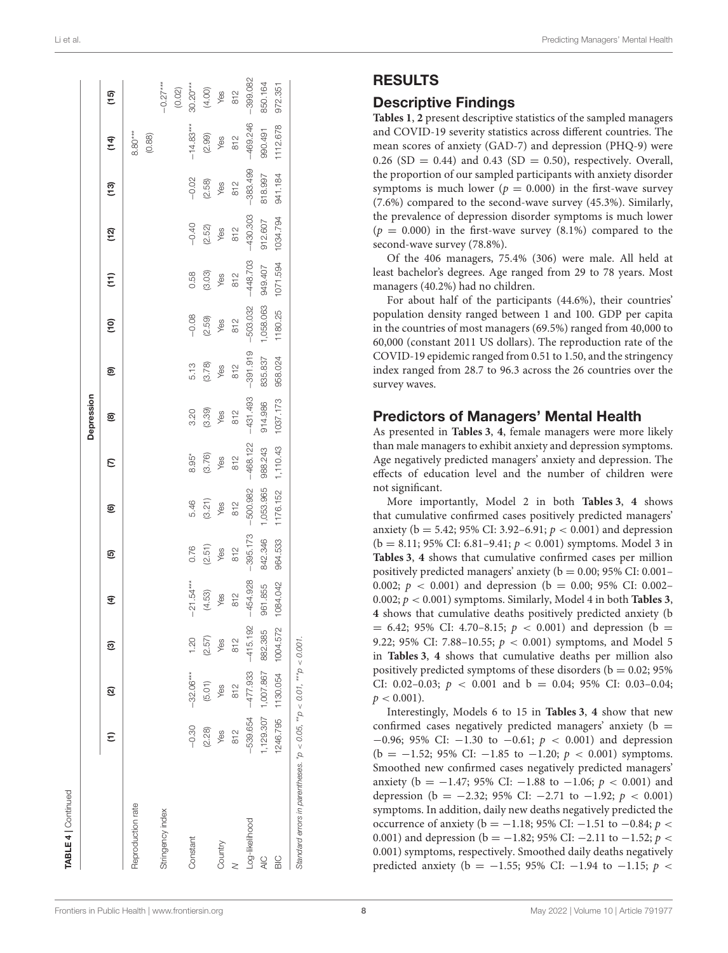| <b>TABLE 4</b>   Continued                                           |            |                            |            |                 |            |                 |                 |                   |                 |                 |                             |             |                 |                                      |                           |
|----------------------------------------------------------------------|------------|----------------------------|------------|-----------------|------------|-----------------|-----------------|-------------------|-----------------|-----------------|-----------------------------|-------------|-----------------|--------------------------------------|---------------------------|
|                                                                      |            |                            |            |                 |            |                 |                 | <b>Depression</b> |                 |                 |                             |             |                 |                                      |                           |
|                                                                      | Ξ          | ହ                          | ම          | E               | ම          | ම               | ε               | @                 | ම               | 은               | $\widehat{\overline{\tau}}$ | <u>(12)</u> | ີ (13)          | (14)                                 | (15)                      |
| Reproduction rate                                                    |            |                            |            |                 |            |                 |                 |                   |                 |                 |                             |             |                 | $8.80***$                            |                           |
|                                                                      |            |                            |            |                 |            |                 |                 |                   |                 |                 |                             |             |                 | (0.88)                               |                           |
| Stringency index                                                     |            |                            |            |                 |            |                 |                 |                   |                 |                 |                             |             |                 |                                      | $-0.27***$                |
|                                                                      |            |                            |            |                 |            |                 |                 |                   |                 |                 |                             |             |                 |                                      | (0.02)                    |
| Constant                                                             | $-0.30$    | $-32.06***$                | 1.20       | $-21.54***$     | 0.76       | 5.46            | $8.95*$         | 3.20              | 5.13            | $-0.08$         | 0.58                        | $-0.40$     | $-0.02$         | $-14.83***$                          |                           |
|                                                                      | (2.28)     | (5.01)                     | (2.57)     | (4.53)          | (2.51)     | $(3.21)$<br>Yes | $(3.76)$<br>Yes | (3.39)            | $(3.78)$<br>Yes | $(2.59)$<br>Yes | $(3.03)$<br>Yes             | (2.52)      | $(2.58)$<br>Yes | $\frac{(2.99)}{\gamma_{\text{ess}}}$ | 30.20***<br>(4.00)<br>Yes |
| Country                                                              | Yes        | Yes                        | Yes        | Yes             | Yes        |                 |                 | Yes               |                 |                 |                             | Yes         |                 |                                      |                           |
|                                                                      | 812        | 812                        | 812        | $\frac{812}{1}$ | 812        | 812             | 812             | 812               | 812             | 812             | 812                         | 812         | 812             | 812                                  | 812                       |
| Log-likelihood                                                       | $-539.654$ | $-477.933$                 | $-415.192$ | $-454.928$      | $-395.173$ | $-500.982$      | $-468.122$      | $-431.493$        | $-391.919$      | $-503.032$      | $-448.703$                  | $-430.303$  | $-383.499$      | $-469.246$                           | $-399.082$                |
| $\frac{C}{4}$                                                        |            | 1,129.307 1,007.867        | 882.385    | 961.855         | 842.346    | 1,053.965       | 988.243         | 914.986           | 835.837         | 1,058.063       | 949.407                     | 912.607     | 818.997         | 990.491                              | 850.164                   |
| $\frac{C}{D}$                                                        |            | 1246.795 1130.054 1004.572 |            | 1084.042        | 964.533    | 1176.152        | 1,110.43        | 1037.173          | 958.024         | 1180.25         | 1071.594                    | 1034.794    | 941.184         | 1112.678                             | 972.351                   |
| Standard errors in parentheses. *p < 0.05, **p < 0.01, ***p < 0.001. |            |                            |            |                 |            |                 |                 |                   |                 |                 |                             |             |                 |                                      |                           |

### RESULTS

### Descriptive Findings

**[Tables 1](#page-1-0)**, **[2](#page-2-0)** present descriptive statistics of the sampled managers and COVID-19 severity statistics across different countries. The mean scores of anxiety (GAD-7) and depression (PHQ-9) were 0.26 (SD = 0.44) and 0.43 (SD = 0.50), respectively. Overall, the proportion of our sampled participants with anxiety disorder symptoms is much lower ( $p = 0.000$ ) in the first-wave survey (7.6%) compared to the second-wave survey (45.3%). Similarly, the prevalence of depression disorder symptoms is much lower  $(p = 0.000)$  in the first-wave survey  $(8.1\%)$  compared to the second-wave survey (78.8%).

Of the 406 managers, 75.4% (306) were male. All held at least bachelor's degrees. Age ranged from 29 to 78 years. Most managers (40.2%) had no children.

For about half of the participants (44.6%), their countries' population density ranged between 1 and 100. GDP per capita in the countries of most managers (69.5%) ranged from 40,000 to 60,000 (constant 2011 US dollars). The reproduction rate of the COVID-19 epidemic ranged from 0.51 to 1.50, and the stringency index ranged from 28.7 to 96.3 across the 26 countries over the survey waves.

### Predictors of Managers' Mental Health

As presented in **[Tables 3](#page-4-0)**, **[4](#page-6-0)**, female managers were more likely than male managers to exhibit anxiety and depression symptoms. Age negatively predicted managers' anxiety and depression. The effects of education level and the number of children were not significant.

More importantly, Model 2 in both **[Tables 3](#page-4-0)**, **[4](#page-6-0)** shows that cumulative confirmed cases positively predicted managers' anxiety ( $b = 5.42$ ; 95% CI: 3.92–6.91;  $p < 0.001$ ) and depression  $(b = 8.11; 95\% \text{ CI: } 6.81-9.41; p < 0.001)$  symptoms. Model 3 in **[Tables 3](#page-4-0)**, **[4](#page-6-0)** shows that cumulative confirmed cases per million positively predicted managers' anxiety ( $b = 0.00$ ; 95% CI: 0.001-0.002;  $p < 0.001$ ) and depression (b = 0.00; 95% CI: 0.002– 0.002; p < 0.001) symptoms. Similarly, Model 4 in both **[Tables 3](#page-4-0)**, **[4](#page-6-0)** shows that cumulative deaths positively predicted anxiety (b  $= 6.42$ ; 95% CI: 4.70–8.15;  $p < 0.001$ ) and depression (b  $=$ 9.22; 95% CI: 7.88-10.55;  $p < 0.001$ ) symptoms, and Model 5 in **[Tables 3](#page-4-0)**, **[4](#page-6-0)** shows that cumulative deaths per million also positively predicted symptoms of these disorders ( $b = 0.02$ ; 95%) CI: 0.02–0.03;  $p < 0.001$  and  $b = 0.04$ ; 95% CI: 0.03–0.04;  $p < 0.001$ ).

Interestingly, Models 6 to 15 in **[Tables 3](#page-4-0)**, **[4](#page-6-0)** show that new confirmed cases negatively predicted managers' anxiety ( $b =$  $-0.96$ ; 95% CI:  $-1.30$  to  $-0.61$ ;  $p < 0.001$ ) and depression (b =  $-1.52$ ; 95% CI:  $-1.85$  to  $-1.20$ ;  $p < 0.001$ ) symptoms. Smoothed new confirmed cases negatively predicted managers' anxiety (b =  $-1.47$ ; 95% CI:  $-1.88$  to  $-1.06$ ;  $p < 0.001$ ) and depression (b =  $-2.32$ ; 95% CI:  $-2.71$  to  $-1.92$ ;  $p < 0.001$ ) symptoms. In addition, daily new deaths negatively predicted the occurrence of anxiety (b = −1.18; 95% CI: −1.51 to −0.84;  $p$  < 0.001) and depression (b = −1.82; 95% CI: −2.11 to −1.52;  $p$  < 0.001) symptoms, respectively. Smoothed daily deaths negatively predicted anxiety (b = −1.55; 95% CI: −1.94 to −1.15;  $p$  <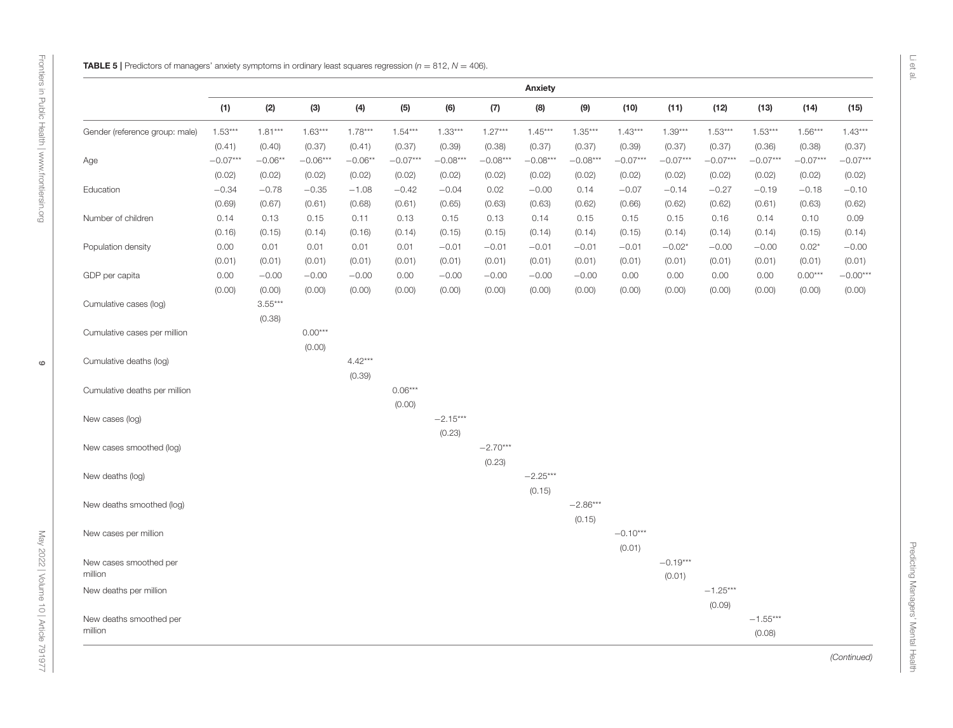<span id="page-8-0"></span> $\circ$ 

|                                |            |           |            |           |            |            |            | Anxiety    |            |            |            |            |            |            |            |
|--------------------------------|------------|-----------|------------|-----------|------------|------------|------------|------------|------------|------------|------------|------------|------------|------------|------------|
|                                | (1)        | (2)       | (3)        | (4)       | (5)        | (6)        | (7)        | (8)        | (9)        | (10)       | (11)       | (12)       | (13)       | (14)       | (15)       |
| Gender (reference group: male) | $1.53***$  | $1.81***$ | $1.63***$  | $1.78***$ | $1.54***$  | $1.33***$  | $1.27***$  | $1.45***$  | $1.35***$  | $1.43***$  | $1.39***$  | $1.53***$  | $1.53***$  | $1.56***$  | $1.43***$  |
|                                | (0.41)     | (0.40)    | (0.37)     | (0.41)    | (0.37)     | (0.39)     | (0.38)     | (0.37)     | (0.37)     | (0.39)     | (0.37)     | (0.37)     | (0.36)     | (0.38)     | (0.37)     |
| Age                            | $-0.07***$ | $-0.06**$ | $-0.06***$ | $-0.06**$ | $-0.07***$ | $-0.08***$ | $-0.08***$ | $-0.08***$ | $-0.08***$ | $-0.07***$ | $-0.07***$ | $-0.07***$ | $-0.07***$ | $-0.07***$ | $-0.07***$ |
|                                | (0.02)     | (0.02)    | (0.02)     | (0.02)    | (0.02)     | (0.02)     | (0.02)     | (0.02)     | (0.02)     | (0.02)     | (0.02)     | (0.02)     | (0.02)     | (0.02)     | (0.02)     |
| Education                      | $-0.34$    | $-0.78$   | $-0.35$    | $-1.08$   | $-0.42$    | $-0.04$    | 0.02       | $-0.00$    | 0.14       | $-0.07$    | $-0.14$    | $-0.27$    | $-0.19$    | $-0.18$    | $-0.10$    |
|                                | (0.69)     | (0.67)    | (0.61)     | (0.68)    | (0.61)     | (0.65)     | (0.63)     | (0.63)     | (0.62)     | (0.66)     | (0.62)     | (0.62)     | (0.61)     | (0.63)     | (0.62)     |
| Number of children             | 0.14       | 0.13      | 0.15       | 0.11      | 0.13       | 0.15       | 0.13       | 0.14       | 0.15       | 0.15       | 0.15       | 0.16       | 0.14       | 0.10       | 0.09       |
|                                | (0.16)     | (0.15)    | (0.14)     | (0.16)    | (0.14)     | (0.15)     | (0.15)     | (0.14)     | (0.14)     | (0.15)     | (0.14)     | (0.14)     | (0.14)     | (0.15)     | (0.14)     |
| Population density             | 0.00       | 0.01      | 0.01       | 0.01      | 0.01       | $-0.01$    | $-0.01$    | $-0.01$    | $-0.01$    | $-0.01$    | $-0.02*$   | $-0.00$    | $-0.00$    | $0.02*$    | $-0.00$    |
|                                | (0.01)     | (0.01)    | (0.01)     | (0.01)    | (0.01)     | (0.01)     | (0.01)     | (0.01)     | (0.01)     | (0.01)     | (0.01)     | (0.01)     | (0.01)     | (0.01)     | (0.01)     |
| GDP per capita                 | 0.00       | $-0.00$   | $-0.00$    | $-0.00$   | 0.00       | $-0.00$    | $-0.00$    | $-0.00$    | $-0.00$    | 0.00       | 0.00       | 0.00       | 0.00       | $0.00***$  | $-0.00***$ |
|                                | (0.00)     | (0.00)    | (0.00)     | (0.00)    | (0.00)     | (0.00)     | (0.00)     | (0.00)     | (0.00)     | (0.00)     | (0.00)     | (0.00)     | (0.00)     | (0.00)     | (0.00)     |
| Cumulative cases (log)         |            | $3.55***$ |            |           |            |            |            |            |            |            |            |            |            |            |            |
|                                |            | (0.38)    |            |           |            |            |            |            |            |            |            |            |            |            |            |
| Cumulative cases per million   |            |           | $0.00***$  |           |            |            |            |            |            |            |            |            |            |            |            |
|                                |            |           | (0.00)     |           |            |            |            |            |            |            |            |            |            |            |            |
| Cumulative deaths (log)        |            |           |            | $4.42***$ |            |            |            |            |            |            |            |            |            |            |            |
|                                |            |           |            | (0.39)    |            |            |            |            |            |            |            |            |            |            |            |
| Cumulative deaths per million  |            |           |            |           | $0.06***$  |            |            |            |            |            |            |            |            |            |            |
|                                |            |           |            |           | (0.00)     |            |            |            |            |            |            |            |            |            |            |
| New cases (log)                |            |           |            |           |            | $-2.15***$ |            |            |            |            |            |            |            |            |            |
|                                |            |           |            |           |            | (0.23)     |            |            |            |            |            |            |            |            |            |
| New cases smoothed (log)       |            |           |            |           |            |            | $-2.70***$ |            |            |            |            |            |            |            |            |
|                                |            |           |            |           |            |            | (0.23)     |            |            |            |            |            |            |            |            |
| New deaths (log)               |            |           |            |           |            |            |            | $-2.25***$ |            |            |            |            |            |            |            |
|                                |            |           |            |           |            |            |            | (0.15)     |            |            |            |            |            |            |            |
| New deaths smoothed (log)      |            |           |            |           |            |            |            |            | $-2.86***$ |            |            |            |            |            |            |
|                                |            |           |            |           |            |            |            |            | (0.15)     |            |            |            |            |            |            |
| New cases per million          |            |           |            |           |            |            |            |            |            | $-0.10***$ |            |            |            |            |            |
|                                |            |           |            |           |            |            |            |            |            | (0.01)     |            |            |            |            |            |
| New cases smoothed per         |            |           |            |           |            |            |            |            |            |            | $-0.19***$ |            |            |            |            |
| million                        |            |           |            |           |            |            |            |            |            |            | (0.01)     |            |            |            |            |
| New deaths per million         |            |           |            |           |            |            |            |            |            |            |            | $-1.25***$ |            |            |            |
|                                |            |           |            |           |            |            |            |            |            |            |            | (0.09)     |            |            |            |
| New deaths smoothed per        |            |           |            |           |            |            |            |            |            |            |            |            | $-1.55***$ |            |            |
| million                        |            |           |            |           |            |            |            |            |            |            |            |            | (0.08)     |            |            |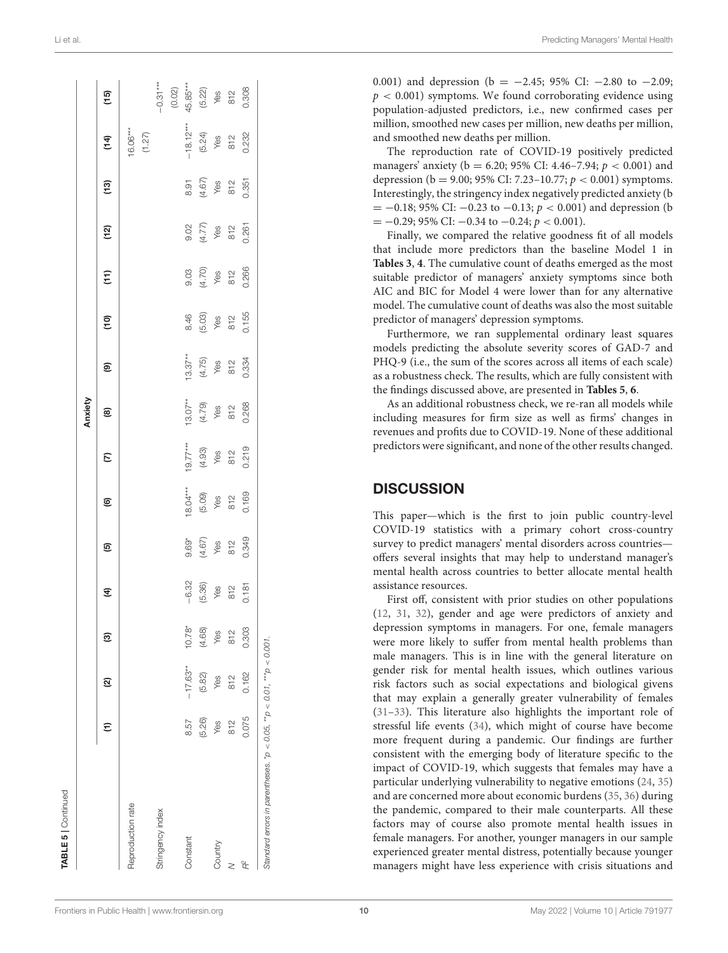|                   |        |            |          |                                                    |                                        |                                           |                                           | Anxiety                                   |                                                          |                                        |                                       |                                                        |                                       |                                                          |                                                                                  |
|-------------------|--------|------------|----------|----------------------------------------------------|----------------------------------------|-------------------------------------------|-------------------------------------------|-------------------------------------------|----------------------------------------------------------|----------------------------------------|---------------------------------------|--------------------------------------------------------|---------------------------------------|----------------------------------------------------------|----------------------------------------------------------------------------------|
|                   |        | Ø          | ම        | E                                                  | ම                                      | ම                                         | E                                         | ©                                         | ම                                                        | $\overline{e}$                         | $\widehat{E}$                         | (12)                                                   | $\frac{3}{2}$                         | $\widehat{t}$                                            | $\frac{5}{2}$                                                                    |
| Reproduction rate |        |            |          |                                                    |                                        |                                           |                                           |                                           |                                                          |                                        |                                       |                                                        |                                       |                                                          |                                                                                  |
|                   |        |            |          |                                                    |                                        |                                           |                                           |                                           |                                                          |                                        |                                       |                                                        |                                       | $16.06***$<br>(1.27)                                     |                                                                                  |
| stringency index  |        |            |          |                                                    |                                        |                                           |                                           |                                           |                                                          |                                        |                                       |                                                        |                                       |                                                          |                                                                                  |
|                   |        |            |          |                                                    |                                        |                                           |                                           |                                           |                                                          |                                        |                                       |                                                        |                                       |                                                          |                                                                                  |
| <b>Constant</b>   | 8.57   | $-17.63**$ | $10.78*$ |                                                    |                                        |                                           |                                           |                                           |                                                          |                                        |                                       |                                                        |                                       |                                                          |                                                                                  |
|                   | (5.26) | (5.82)     | (4.68)   | $-6.32$<br>$(5.36)$<br>$\times$ 82<br>812<br>0.181 | 9.69*<br>(4.67)<br>812<br>812<br>0.349 | 18.04***<br>(5.09)<br>Yes<br>812<br>0.169 | 19.77***<br>(4.93)<br>Yes<br>812<br>0.219 | 13.07**<br>(4.79)<br>Yes<br>812<br>80.268 | $13.37**$<br>$(4.75)$<br>$\sqrt{68}$<br>$812$<br>$0.334$ | 8.46<br>6.03<br>8 12<br>8 155<br>0.155 | 9.03<br>(4.70)<br>812<br>812<br>0.266 | $0.77$<br>$4.77$<br>$7.8$<br>$812$<br>$812$<br>$0.261$ | 8.91<br>(4.67)<br>Yes<br>812<br>0.351 | $-18.12***$<br>$(5.24)$<br>$\sqrt{68}$<br>$812$<br>0.232 | $-0.31***$<br>$(0.02)$<br>$45.85***$<br>$(5.22)$<br>$\times$ 812<br>812<br>0.308 |
| Country           | Yes    | Yes        | Yes      |                                                    |                                        |                                           |                                           |                                           |                                                          |                                        |                                       |                                                        |                                       |                                                          |                                                                                  |
|                   | 812    | 812        | 812      |                                                    |                                        |                                           |                                           |                                           |                                                          |                                        |                                       |                                                        |                                       |                                                          |                                                                                  |
| ã                 | 0.075  | 0.162      | 0.303    |                                                    |                                        |                                           |                                           |                                           |                                                          |                                        |                                       |                                                        |                                       |                                                          |                                                                                  |

0.001) and depression (b =  $-2.45$ ; 95% CI:  $-2.80$  to  $-2.09$ ;  $p < 0.001$ ) symptoms. We found corroborating evidence using population-adjusted predictors, i.e., new confirmed cases per million, smoothed new cases per million, new deaths per million, and smoothed new deaths per million.

The reproduction rate of COVID-19 positively predicted managers' anxiety (b = 6.20; 95% CI: 4.46-7.94;  $p < 0.001$ ) and depression (b = 9.00; 95% CI: 7.23–10.77;  $p < 0.001$ ) symptoms. Interestingly, the stringency index negatively predicted anxiety (b  $= -0.18$ ; 95% CI:  $-0.23$  to  $-0.13$ ;  $p < 0.001$ ) and depression (b)  $= -0.29$ ; 95% CI:  $-0.34$  to  $-0.24$ ;  $p < 0.001$ ).

Finally, we compared the relative goodness fit of all models that include more predictors than the baseline Model 1 in **[Tables 3](#page-4-0)**, **[4](#page-6-0)**. The cumulative count of deaths emerged as the most suitable predictor of managers' anxiety symptoms since both AIC and BIC for Model 4 were lower than for any alternative model. The cumulative count of deaths was also the most suitable predictor of managers' depression symptoms.

Furthermore, we ran supplemental ordinary least squares models predicting the absolute severity scores of GAD-7 and PHQ-9 (i.e., the sum of the scores across all items of each scale) as a robustness check. The results, which are fully consistent with the findings discussed above, are presented in **[Tables 5](#page-8-0)**, **[6](#page-10-0)**.

As an additional robustness check, we re-ran all models while including measures for firm size as well as firms' changes in revenues and profits due to COVID-19. None of these additional predictors were significant, and none of the other results changed.

### **DISCUSSION**

This paper—which is the first to join public country-level COVID-19 statistics with a primary cohort cross-country survey to predict managers' mental disorders across countries offers several insights that may help to understand manager's mental health across countries to better allocate mental health assistance resources.

First off, consistent with prior studies on other populations [\(12,](#page-13-4) [31,](#page-13-21) [32\)](#page-13-22), gender and age were predictors of anxiety and depression symptoms in managers. For one, female managers were more likely to suffer from mental health problems than male managers. This is in line with the general literature on gender risk for mental health issues, which outlines various risk factors such as social expectations and biological givens that may explain a generally greater vulnerability of females [\(31](#page-13-21)[–33\)](#page-13-23). This literature also highlights the important role of stressful life events [\(34\)](#page-13-24), which might of course have become more frequent during a pandemic. Our findings are further consistent with the emerging body of literature specific to the impact of COVID-19, which suggests that females may have a particular underlying vulnerability to negative emotions [\(24,](#page-13-14) [35\)](#page-13-25) and are concerned more about economic burdens [\(35,](#page-13-25) [36\)](#page-13-26) during the pandemic, compared to their male counterparts. All these factors may of course also promote mental health issues in female managers. For another, younger managers in our sample experienced greater mental distress, potentially because younger managers might have less experience with crisis situations and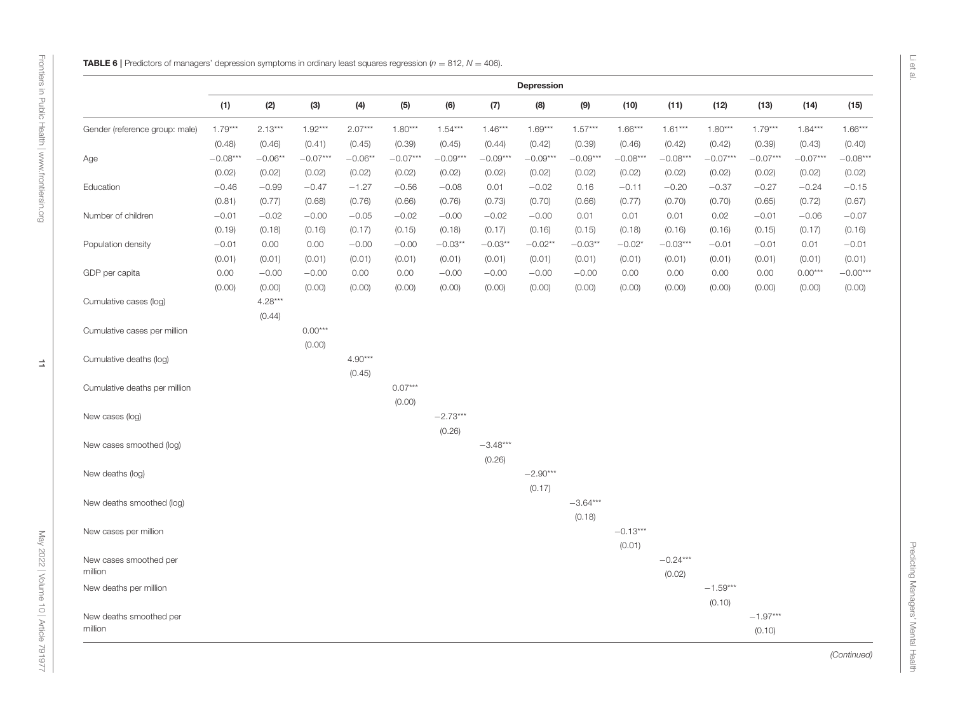<span id="page-10-0"></span>**MARK S)** the continuously approximately the continuously approximately the continuously approximately the continuously  $\frac{1}{2}$ <br>
Continuously approximately approximately the continuously  $\frac{1}{2}$ <br>
Continuously approxim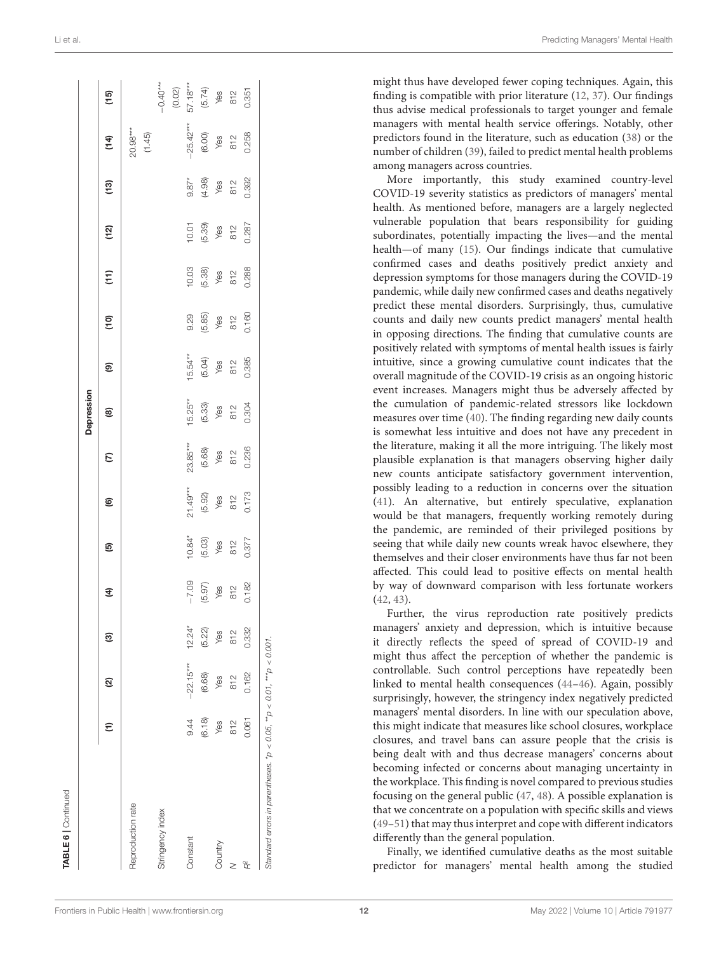|                   |        |             |          |                                                |                                         |                                             |                                          | Depression                                                   |                                          |                                                            |                                                  |                                      |                                      |                                              |                                                                                   |
|-------------------|--------|-------------|----------|------------------------------------------------|-----------------------------------------|---------------------------------------------|------------------------------------------|--------------------------------------------------------------|------------------------------------------|------------------------------------------------------------|--------------------------------------------------|--------------------------------------|--------------------------------------|----------------------------------------------|-----------------------------------------------------------------------------------|
|                   | ε      | <u>ତ</u>    | ම        | E                                              | ම                                       | ම                                           | $\epsilon$                               | ©                                                            | ම                                        | $\overline{e}$                                             | $\widehat{t}$                                    | (12)                                 | $\frac{3}{2}$                        | $\frac{4}{1}$                                | (15)                                                                              |
| Reproduction rate |        |             |          |                                                |                                         |                                             |                                          |                                                              |                                          |                                                            |                                                  |                                      |                                      |                                              |                                                                                   |
|                   |        |             |          |                                                |                                         |                                             |                                          |                                                              |                                          |                                                            |                                                  |                                      |                                      | $20.98***$<br>(1.45)                         |                                                                                   |
| Stringency index  |        |             |          |                                                |                                         |                                             |                                          |                                                              |                                          |                                                            |                                                  |                                      |                                      |                                              |                                                                                   |
|                   |        |             |          |                                                |                                         |                                             |                                          |                                                              |                                          |                                                            |                                                  |                                      |                                      |                                              |                                                                                   |
| Constant          | 9.44   | $-22.15***$ | $12.24*$ |                                                |                                         |                                             |                                          |                                                              |                                          |                                                            |                                                  |                                      |                                      |                                              |                                                                                   |
|                   | (6.18) | (6.68)      | (5.22)   | $-7.09$<br>$(5.97)$<br>$\times$ 812<br>$0.182$ | 10.84*<br>(5.03)<br>Yes<br>812<br>0.377 | $21.49***$<br>(5.92)<br>Yes<br>812<br>0.173 | 23.85**<br>(5.68)<br>Yes<br>812<br>0.236 | 15.25 <sup>**</sup><br>(5.33)<br>$\sqrt{85}$<br>812<br>0.304 | 15.54**<br>(5.04)<br>Yes<br>812<br>0.385 | $0.85$<br>$6.85$<br>$\times 82$<br>$\times 160$<br>$0.160$ | 10.03<br>$(5.38)$<br>$\sqrt{68}$<br>88<br>80.288 | 10.01<br>(5.39)<br>Yes<br>812<br>812 | 9.87*<br>(4.98)<br>Yes<br>812<br>812 | $-25.42***$<br>(6.00)<br>Yes<br>812<br>0.258 | $-0.40***$<br>$(0.02)$<br>$57.18***$<br>$57.4$<br>$(6.74)$<br>812<br>812<br>81351 |
| Country           | Yes    | Yes         | Yes      |                                                |                                         |                                             |                                          |                                                              |                                          |                                                            |                                                  |                                      |                                      |                                              |                                                                                   |
|                   | 812    | 812         | 812      |                                                |                                         |                                             |                                          |                                                              |                                          |                                                            |                                                  |                                      |                                      |                                              |                                                                                   |
| $R^2$             | 0.061  | 0.162       | 0.332    |                                                |                                         |                                             |                                          |                                                              |                                          |                                                            |                                                  |                                      |                                      |                                              |                                                                                   |

More importantly, this study examined country-level COVID-19 severity statistics as predictors of managers' mental health. As mentioned before, managers are a largely neglected vulnerable population that bears responsibility for guiding subordinates, potentially impacting the lives—and the mental health—of many [\(15\)](#page-13-7). Our findings indicate that cumulative confirmed cases and deaths positively predict anxiety and depression symptoms for those managers during the COVID-19 pandemic, while daily new confirmed cases and deaths negatively predict these mental disorders. Surprisingly, thus, cumulative counts and daily new counts predict managers' mental health in opposing directions. The finding that cumulative counts are positively related with symptoms of mental health issues is fairly intuitive, since a growing cumulative count indicates that the overall magnitude of the COVID-19 crisis as an ongoing historic event increases. Managers might thus be adversely affected by the cumulation of pandemic-related stressors like lockdown measures over time [\(40\)](#page-13-30). The finding regarding new daily counts is somewhat less intuitive and does not have any precedent in the literature, making it all the more intriguing. The likely most plausible explanation is that managers observing higher daily new counts anticipate satisfactory government intervention, possibly leading to a reduction in concerns over the situation [\(41\)](#page-13-31). An alternative, but entirely speculative, explanation would be that managers, frequently working remotely during the pandemic, are reminded of their privileged positions by seeing that while daily new counts wreak havoc elsewhere, they themselves and their closer environments have thus far not been affected. This could lead to positive effects on mental health by way of downward comparison with less fortunate workers [\(42,](#page-13-32) [43\)](#page-14-0).

Further, the virus reproduction rate positively predicts managers' anxiety and depression, which is intuitive because it directly reflects the speed of spread of COVID-19 and might thus affect the perception of whether the pandemic is controllable. Such control perceptions have repeatedly been linked to mental health consequences [\(44](#page-14-1)[–46\)](#page-14-2). Again, possibly surprisingly, however, the stringency index negatively predicted managers' mental disorders. In line with our speculation above, this might indicate that measures like school closures, workplace closures, and travel bans can assure people that the crisis is being dealt with and thus decrease managers' concerns about becoming infected or concerns about managing uncertainty in the workplace. This finding is novel compared to previous studies focusing on the general public [\(47,](#page-14-3) [48\)](#page-14-4). A possible explanation is that we concentrate on a population with specific skills and views [\(49](#page-14-5)[–51\)](#page-14-6) that may thus interpret and cope with different indicators differently than the general population.

Finally, we identified cumulative deaths as the most suitable predictor for managers' mental health among the studied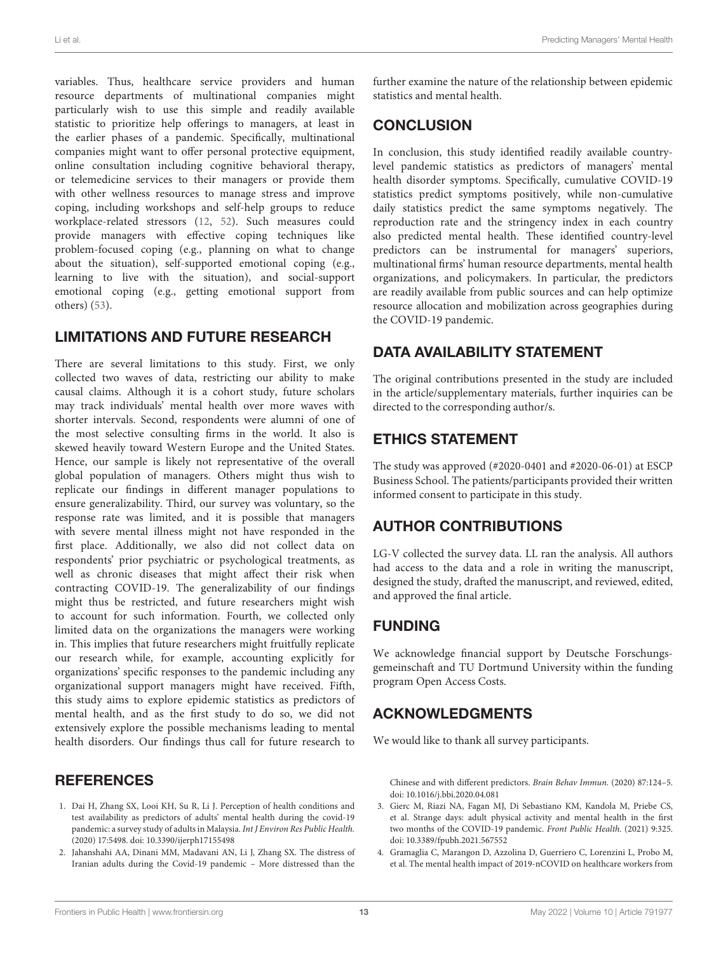variables. Thus, healthcare service providers and human resource departments of multinational companies might particularly wish to use this simple and readily available statistic to prioritize help offerings to managers, at least in the earlier phases of a pandemic. Specifically, multinational companies might want to offer personal protective equipment, online consultation including cognitive behavioral therapy, or telemedicine services to their managers or provide them with other wellness resources to manage stress and improve coping, including workshops and self-help groups to reduce workplace-related stressors [\(12,](#page-13-4) [52\)](#page-14-7). Such measures could provide managers with effective coping techniques like problem-focused coping (e.g., planning on what to change about the situation), self-supported emotional coping (e.g., learning to live with the situation), and social-support emotional coping (e.g., getting emotional support from others) [\(53\)](#page-14-8).

# LIMITATIONS AND FUTURE RESEARCH

There are several limitations to this study. First, we only collected two waves of data, restricting our ability to make causal claims. Although it is a cohort study, future scholars may track individuals' mental health over more waves with shorter intervals. Second, respondents were alumni of one of the most selective consulting firms in the world. It also is skewed heavily toward Western Europe and the United States. Hence, our sample is likely not representative of the overall global population of managers. Others might thus wish to replicate our findings in different manager populations to ensure generalizability. Third, our survey was voluntary, so the response rate was limited, and it is possible that managers with severe mental illness might not have responded in the first place. Additionally, we also did not collect data on respondents' prior psychiatric or psychological treatments, as well as chronic diseases that might affect their risk when contracting COVID-19. The generalizability of our findings might thus be restricted, and future researchers might wish to account for such information. Fourth, we collected only limited data on the organizations the managers were working in. This implies that future researchers might fruitfully replicate our research while, for example, accounting explicitly for organizations' specific responses to the pandemic including any organizational support managers might have received. Fifth, this study aims to explore epidemic statistics as predictors of mental health, and as the first study to do so, we did not extensively explore the possible mechanisms leading to mental health disorders. Our findings thus call for future research to

# **REFERENCES**

- <span id="page-12-0"></span>1. Dai H, Zhang SX, Looi KH, Su R, Li J. Perception of health conditions and test availability as predictors of adults' mental health during the covid-19 pandemic: a survey study of adults in Malaysia. Int J Environ Res Public Health. (2020) 17:5498. doi: [10.3390/ijerph17155498](https://doi.org/10.3390/ijerph17155498)
- <span id="page-12-2"></span>2. Jahanshahi AA, Dinani MM, Madavani AN, Li J, Zhang SX. The distress of Iranian adults during the Covid-19 pandemic – More distressed than the

further examine the nature of the relationship between epidemic statistics and mental health.

# **CONCLUSION**

In conclusion, this study identified readily available countrylevel pandemic statistics as predictors of managers' mental health disorder symptoms. Specifically, cumulative COVID-19 statistics predict symptoms positively, while non-cumulative daily statistics predict the same symptoms negatively. The reproduction rate and the stringency index in each country also predicted mental health. These identified country-level predictors can be instrumental for managers' superiors, multinational firms' human resource departments, mental health organizations, and policymakers. In particular, the predictors are readily available from public sources and can help optimize resource allocation and mobilization across geographies during the COVID-19 pandemic.

# DATA AVAILABILITY STATEMENT

The original contributions presented in the study are included in the article/supplementary materials, further inquiries can be directed to the corresponding author/s.

# ETHICS STATEMENT

The study was approved (#2020-0401 and #2020-06-01) at ESCP Business School. The patients/participants provided their written informed consent to participate in this study.

# AUTHOR CONTRIBUTIONS

LG-V collected the survey data. LL ran the analysis. All authors had access to the data and a role in writing the manuscript, designed the study, drafted the manuscript, and reviewed, edited, and approved the final article.

# FUNDING

We acknowledge financial support by Deutsche Forschungsgemeinschaft and TU Dortmund University within the funding program Open Access Costs.

# ACKNOWLEDGMENTS

We would like to thank all survey participants.

Chinese and with different predictors. Brain Behav Immun. (2020) 87:124–5. doi: [10.1016/j.bbi.2020.04.081](https://doi.org/10.1016/j.bbi.2020.04.081)

- 3. Gierc M, Riazi NA, Fagan MJ, Di Sebastiano KM, Kandola M, Priebe CS, et al. Strange days: adult physical activity and mental health in the first two months of the COVID-19 pandemic. Front Public Health. (2021) 9:325. doi: [10.3389/fpubh.2021.567552](https://doi.org/10.3389/fpubh.2021.567552)
- <span id="page-12-1"></span>4. Gramaglia C, Marangon D, Azzolina D, Guerriero C, Lorenzini L, Probo M, et al. The mental health impact of 2019-nCOVID on healthcare workers from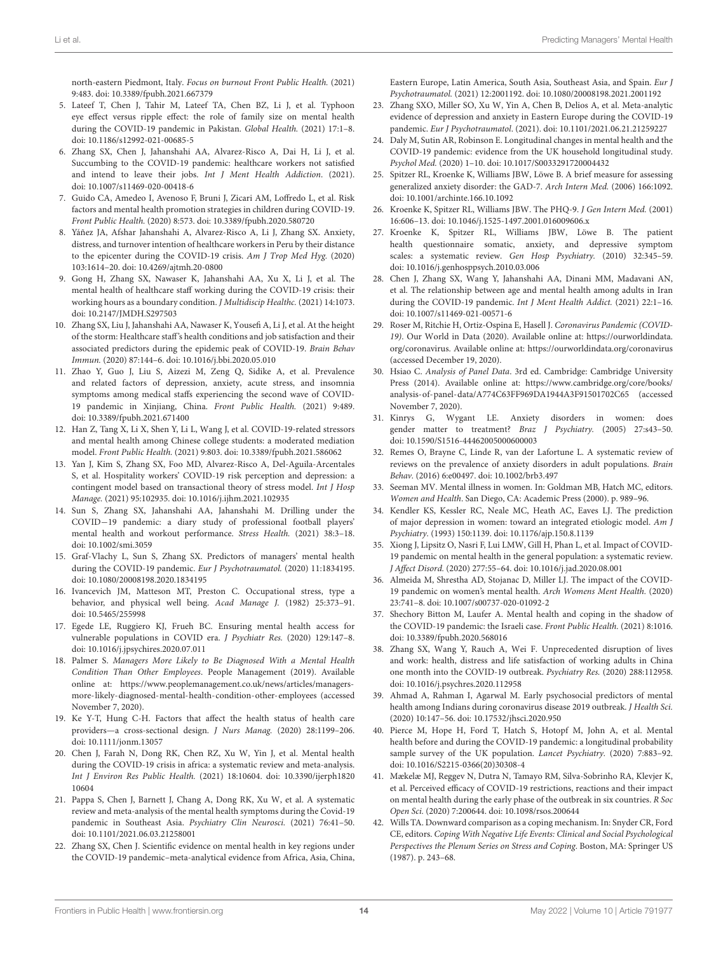north-eastern Piedmont, Italy. Focus on burnout Front Public Health. (2021) 9:483. doi: [10.3389/fpubh.2021.667379](https://doi.org/10.3389/fpubh.2021.667379)

- 5. Lateef T, Chen J, Tahir M, Lateef TA, Chen BZ, Li J, et al. Typhoon eye effect versus ripple effect: the role of family size on mental health during the COVID-19 pandemic in Pakistan. Global Health. (2021) 17:1–8. doi: [10.1186/s12992-021-00685-5](https://doi.org/10.1186/s12992-021-00685-5)
- <span id="page-13-0"></span>6. Zhang SX, Chen J, Jahanshahi AA, Alvarez-Risco A, Dai H, Li J, et al. Succumbing to the COVID-19 pandemic: healthcare workers not satisfied and intend to leave their jobs. Int J Ment Health Addiction. (2021). doi: [10.1007/s11469-020-00418-6](https://doi.org/10.1007/s11469-020-00418-6)
- <span id="page-13-1"></span>7. Guido CA, Amedeo I, Avenoso F, Bruni J, Zicari AM, Loffredo L, et al. Risk factors and mental health promotion strategies in children during COVID-19. Front Public Health. (2020) 8:573. doi: [10.3389/fpubh.2020.580720](https://doi.org/10.3389/fpubh.2020.580720)
- <span id="page-13-2"></span>8. Yáñez JA, Afshar Jahanshahi A, Alvarez-Risco A, Li J, Zhang SX. Anxiety, distress, and turnover intention of healthcare workers in Peru by their distance to the epicenter during the COVID-19 crisis. Am J Trop Med Hyg. (2020) 103:1614–20. doi: [10.4269/ajtmh.20-0800](https://doi.org/10.4269/ajtmh.20-0800)
- 9. Gong H, Zhang SX, Nawaser K, Jahanshahi AA, Xu X, Li J, et al. The mental health of healthcare staff working during the COVID-19 crisis: their working hours as a boundary condition. J Multidiscip Healthc. (2021) 14:1073. doi: [10.2147/JMDH.S297503](https://doi.org/10.2147/JMDH.S297503)
- 10. Zhang SX, Liu J, Jahanshahi AA, Nawaser K, Yousefi A, Li J, et al. At the height of the storm: Healthcare staff's health conditions and job satisfaction and their associated predictors during the epidemic peak of COVID-19. Brain Behav Immun. (2020) 87:144–6. doi: [10.1016/j.bbi.2020.05.010](https://doi.org/10.1016/j.bbi.2020.05.010)
- <span id="page-13-3"></span>11. Zhao Y, Guo J, Liu S, Aizezi M, Zeng Q, Sidike A, et al. Prevalence and related factors of depression, anxiety, acute stress, and insomnia symptoms among medical staffs experiencing the second wave of COVID-19 pandemic in Xinjiang, China. Front Public Health. (2021) 9:489. doi: [10.3389/fpubh.2021.671400](https://doi.org/10.3389/fpubh.2021.671400)
- <span id="page-13-4"></span>12. Han Z, Tang X, Li X, Shen Y, Li L, Wang J, et al. COVID-19-related stressors and mental health among Chinese college students: a moderated mediation model. Front Public Health. (2021) 9:803. doi: [10.3389/fpubh.2021.586062](https://doi.org/10.3389/fpubh.2021.586062)
- <span id="page-13-5"></span>13. Yan J, Kim S, Zhang SX, Foo MD, Alvarez-Risco A, Del-Aguila-Arcentales S, et al. Hospitality workers' COVID-19 risk perception and depression: a contingent model based on transactional theory of stress model. Int J Hosp Manage. (2021) 95:102935. doi: [10.1016/j.ijhm.2021.102935](https://doi.org/10.1016/j.ijhm.2021.102935)
- <span id="page-13-6"></span>14. Sun S, Zhang SX, Jahanshahi AA, Jahanshahi M. Drilling under the COVID−19 pandemic: a diary study of professional football players' mental health and workout performance. Stress Health. (2021) 38:3–18. doi: [10.1002/smi.3059](https://doi.org/10.1002/smi.3059)
- <span id="page-13-7"></span>15. Graf-Vlachy L, Sun S, Zhang SX. Predictors of managers' mental health during the COVID-19 pandemic. Eur J Psychotraumatol. (2020) 11:1834195. doi: [10.1080/20008198.2020.1834195](https://doi.org/10.1080/20008198.2020.1834195)
- <span id="page-13-8"></span>16. Ivancevich JM, Matteson MT, Preston C. Occupational stress, type a behavior, and physical well being. Acad Manage J. (1982) 25:373–91. doi: [10.5465/255998](https://doi.org/10.5465/255998)
- <span id="page-13-9"></span>17. Egede LE, Ruggiero KJ, Frueh BC. Ensuring mental health access for vulnerable populations in COVID era. J Psychiatr Res. (2020) 129:147–8. doi: [10.1016/j.jpsychires.2020.07.011](https://doi.org/10.1016/j.jpsychires.2020.07.011)
- <span id="page-13-10"></span>18. Palmer S. Managers More Likely to Be Diagnosed With a Mental Health Condition Than Other Employees. People Management (2019). Available online at: [https://www.peoplemanagement.co.uk/news/articles/managers](https://www.peoplemanagement.co.uk/news/articles/managers-more-likely-diagnosed-mental-health-condition-other-employees)[more-likely-diagnosed-mental-health-condition-other-employees](https://www.peoplemanagement.co.uk/news/articles/managers-more-likely-diagnosed-mental-health-condition-other-employees) (accessed November 7, 2020).
- <span id="page-13-11"></span>19. Ke Y-T, Hung C-H. Factors that affect the health status of health care providers—a cross-sectional design. J Nurs Manag. (2020) 28:1199–206. doi: [10.1111/jonm.13057](https://doi.org/10.1111/jonm.13057)
- <span id="page-13-12"></span>20. Chen J, Farah N, Dong RK, Chen RZ, Xu W, Yin J, et al. Mental health during the COVID-19 crisis in africa: a systematic review and meta-analysis. Int J Environ Res Public Health. [\(2021\) 18:10604. doi: 10.3390/ijerph1820](https://doi.org/10.3390/ijerph182010604) 10604
- 21. Pappa S, Chen J, Barnett J, Chang A, Dong RK, Xu W, et al. A systematic review and meta-analysis of the mental health symptoms during the Covid-19 pandemic in Southeast Asia. Psychiatry Clin Neurosci. (2021) 76:41–50. doi: [10.1101/2021.06.03.21258001](https://doi.org/10.1101/2021.06.03.21258001)
- 22. Zhang SX, Chen J. Scientific evidence on mental health in key regions under the COVID-19 pandemic–meta-analytical evidence from Africa, Asia, China,

Eastern Europe, Latin America, South Asia, Southeast Asia, and Spain. Eur J Psychotraumatol. (2021) 12:2001192. doi: [10.1080/20008198.2021.2001192](https://doi.org/10.1080/20008198.2021.2001192)

- <span id="page-13-13"></span>23. Zhang SXO, Miller SO, Xu W, Yin A, Chen B, Delios A, et al. Meta-analytic evidence of depression and anxiety in Eastern Europe during the COVID-19 pandemic. Eur J Psychotraumatol. (2021). doi: [10.1101/2021.06.21.21259227](https://doi.org/10.1101/2021.06.21.21259227)
- <span id="page-13-14"></span>24. Daly M, Sutin AR, Robinson E. Longitudinal changes in mental health and the COVID-19 pandemic: evidence from the UK household longitudinal study. Psychol Med. (2020) 1–10. doi: [10.1017/S0033291720004432](https://doi.org/10.1017/S0033291720004432)
- <span id="page-13-15"></span>25. Spitzer RL, Kroenke K, Williams JBW, Löwe B. A brief measure for assessing generalized anxiety disorder: the GAD-7. Arch Intern Med. (2006) 166:1092. doi: [10.1001/archinte.166.10.1092](https://doi.org/10.1001/archinte.166.10.1092)
- <span id="page-13-16"></span>26. Kroenke K, Spitzer RL, Williams JBW. The PHQ-9. J Gen Intern Med. (2001) 16:606–13. doi: [10.1046/j.1525-1497.2001.016009606.x](https://doi.org/10.1046/j.1525-1497.2001.016009606.x)
- <span id="page-13-17"></span>27. Kroenke K, Spitzer RL, Williams JBW, Löwe B. The patient health questionnaire somatic, anxiety, and depressive symptom scales: a systematic review. Gen Hosp Psychiatry. (2010) 32:345–59. doi: [10.1016/j.genhosppsych.2010.03.006](https://doi.org/10.1016/j.genhosppsych.2010.03.006)
- <span id="page-13-18"></span>28. Chen J, Zhang SX, Wang Y, Jahanshahi AA, Dinani MM, Madavani AN, et al. The relationship between age and mental health among adults in Iran during the COVID-19 pandemic. Int J Ment Health Addict. (2021) 22:1-16. doi: [10.1007/s11469-021-00571-6](https://doi.org/10.1007/s11469-021-00571-6)
- <span id="page-13-19"></span>29. Roser M, Ritchie H, Ortiz-Ospina E, Hasell J. Coronavirus Pandemic (COVID-19). Our World in Data (2020). Available online at: [https://ourworldindata.](https://ourworldindata.org/coronavirus) [org/coronavirus.](https://ourworldindata.org/coronavirus) Available online at:<https://ourworldindata.org/coronavirus> (accessed December 19, 2020).
- <span id="page-13-20"></span>30. Hsiao C. Analysis of Panel Data. 3rd ed. Cambridge: Cambridge University Press (2014). Available online at: [https://www.cambridge.org/core/books/](https://www.cambridge.org/core/books/analysis-of-panel-data/A774C63FF969DA1944A3F91501702C65) [analysis-of-panel-data/A774C63FF969DA1944A3F91501702C65](https://www.cambridge.org/core/books/analysis-of-panel-data/A774C63FF969DA1944A3F91501702C65) (accessed November 7, 2020).
- <span id="page-13-21"></span>31. Kinrys G, Wygant LE. Anxiety disorders in women: does gender matter to treatment? Braz J Psychiatry. (2005) 27:s43–50. doi: [10.1590/S1516-44462005000600003](https://doi.org/10.1590/S1516-44462005000600003)
- <span id="page-13-22"></span>32. Remes O, Brayne C, Linde R, van der Lafortune L. A systematic review of reviews on the prevalence of anxiety disorders in adult populations. Brain Behav. (2016) 6:e00497. doi: [10.1002/brb3.497](https://doi.org/10.1002/brb3.497)
- <span id="page-13-23"></span>33. Seeman MV. Mental illness in women. In: Goldman MB, Hatch MC, editors. Women and Health. San Diego, CA: Academic Press (2000). p. 989–96.
- <span id="page-13-24"></span>34. Kendler KS, Kessler RC, Neale MC, Heath AC, Eaves LJ. The prediction of major depression in women: toward an integrated etiologic model. Am J Psychiatry. (1993) 150:1139. doi: [10.1176/ajp.150.8.1139](https://doi.org/10.1176/ajp.150.8.1139)
- <span id="page-13-25"></span>35. Xiong J, Lipsitz O, Nasri F, Lui LMW, Gill H, Phan L, et al. Impact of COVID-19 pandemic on mental health in the general population: a systematic review. J Affect Disord. (2020) 277:55–64. doi: [10.1016/j.jad.2020.08.001](https://doi.org/10.1016/j.jad.2020.08.001)
- <span id="page-13-26"></span>36. Almeida M, Shrestha AD, Stojanac D, Miller LJ. The impact of the COVID-19 pandemic on women's mental health. Arch Womens Ment Health. (2020) 23:741–8. doi: [10.1007/s00737-020-01092-2](https://doi.org/10.1007/s00737-020-01092-2)
- <span id="page-13-27"></span>37. Shechory Bitton M, Laufer A. Mental health and coping in the shadow of the COVID-19 pandemic: the Israeli case. Front Public Health. (2021) 8:1016. doi: [10.3389/fpubh.2020.568016](https://doi.org/10.3389/fpubh.2020.568016)
- <span id="page-13-28"></span>38. Zhang SX, Wang Y, Rauch A, Wei F. Unprecedented disruption of lives and work: health, distress and life satisfaction of working adults in China one month into the COVID-19 outbreak. Psychiatry Res. (2020) 288:112958. doi: [10.1016/j.psychres.2020.112958](https://doi.org/10.1016/j.psychres.2020.112958)
- <span id="page-13-29"></span>39. Ahmad A, Rahman I, Agarwal M. Early psychosocial predictors of mental health among Indians during coronavirus disease 2019 outbreak. J Health Sci. (2020) 10:147–56. doi: [10.17532/jhsci.2020.950](https://doi.org/10.17532/jhsci.2020.950)
- <span id="page-13-30"></span>40. Pierce M, Hope H, Ford T, Hatch S, Hotopf M, John A, et al. Mental health before and during the COVID-19 pandemic: a longitudinal probability sample survey of the UK population. Lancet Psychiatry. (2020) 7:883–92. doi: [10.1016/S2215-0366\(20\)30308-4](https://doi.org/10.1016/S2215-0366(20)30308-4)
- <span id="page-13-31"></span>41. Mækelæ MJ, Reggev N, Dutra N, Tamayo RM, Silva-Sobrinho RA, Klevjer K, et al. Perceived efficacy of COVID-19 restrictions, reactions and their impact on mental health during the early phase of the outbreak in six countries. R Soc Open Sci. (2020) 7:200644. doi: [10.1098/rsos.200644](https://doi.org/10.1098/rsos.200644)
- <span id="page-13-32"></span>42. Wills TA. Downward comparison as a coping mechanism. In: Snyder CR, Ford CE, editors. Coping With Negative Life Events: Clinical and Social Psychological Perspectives the Plenum Series on Stress and Coping. Boston, MA: Springer US (1987). p. 243–68.